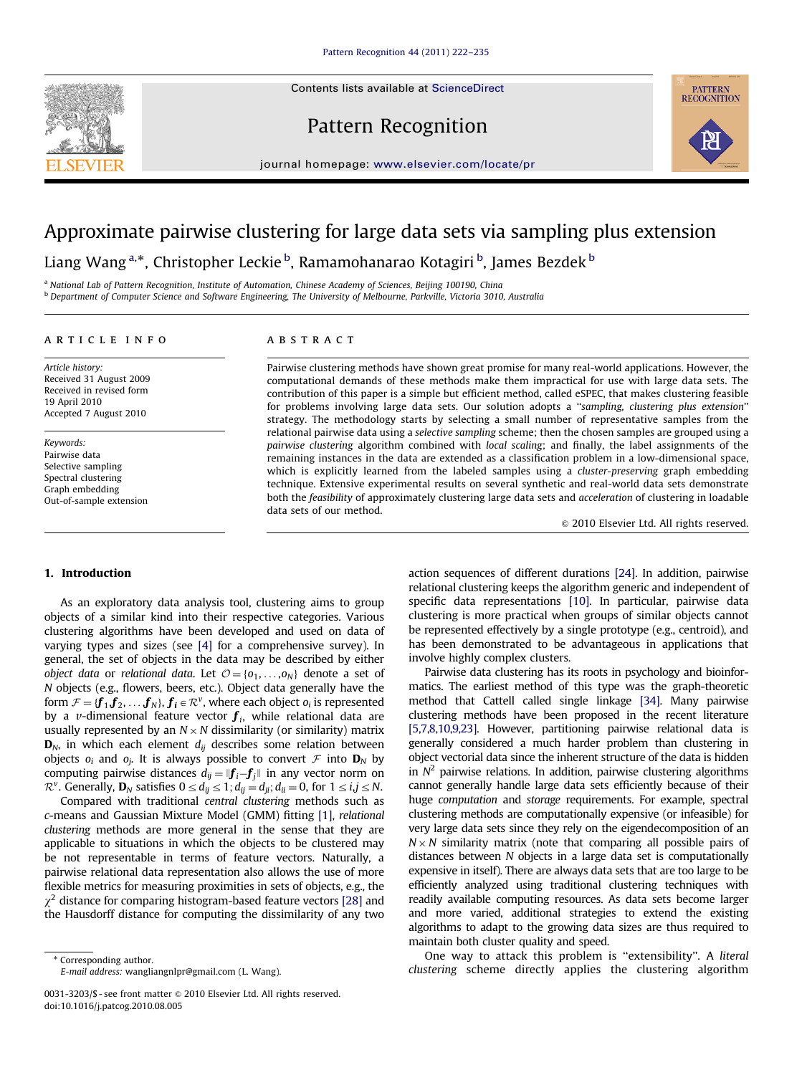Contents lists available at ScienceDirect







journal homepage: [www.elsevier.com/locate/pr](www.elsevier.com/pr)

# Approximate pairwise clustering for large data sets via sampling plus extension

Liang Wang<sup>a,</sup>\*, Christopher Leckie <sup>b</sup>, Ramamohanarao Kotagiri <sup>b</sup>, James Bezdek <sup>b</sup>

<sup>a</sup> National Lab of Pattern Recognition, Institute of Automation, Chinese Academy of Sciences, Beijing 100190, China <sup>b</sup> Department of Computer Science and Software Engineering, The University of Melbourne, Parkville, Victoria 3010, Australia

# article info

Article history: Received 31 August 2009 Received in revised form 19 April 2010 Accepted 7 August 2010

Keywords: Pairwise data Selective sampling Spectral clustering Graph embedding Out-of-sample extension

# ABSTRACT

Pairwise clustering methods have shown great promise for many real-world applications. However, the computational demands of these methods make them impractical for use with large data sets. The contribution of this paper is a simple but efficient method, called eSPEC, that makes clustering feasible for problems involving large data sets. Our solution adopts a ''sampling, clustering plus extension'' strategy. The methodology starts by selecting a small number of representative samples from the relational pairwise data using a selective sampling scheme; then the chosen samples are grouped using a pairwise clustering algorithm combined with local scaling; and finally, the label assignments of the remaining instances in the data are extended as a classification problem in a low-dimensional space, which is explicitly learned from the labeled samples using a cluster-preserving graph embedding technique. Extensive experimental results on several synthetic and real-world data sets demonstrate both the feasibility of approximately clustering large data sets and acceleration of clustering in loadable data sets of our method.

 $\odot$  2010 Elsevier Ltd. All rights reserved.

# 1. Introduction

As an exploratory data analysis tool, clustering aims to group objects of a similar kind into their respective categories. Various clustering algorithms have been developed and used on data of varying types and sizes (see [\[4\]](#page-12-0) for a comprehensive survey). In general, the set of objects in the data may be described by either object data or relational data. Let  $\mathcal{O} = \{o_1, \ldots, o_N\}$  denote a set of N objects (e.g., flowers, beers, etc.). Object data generally have the form  $\mathcal{F} = \{f_1, f_2, \dots, f_N\}$ ,  $f_i \in \mathcal{R}^{\nu}$ , where each object  $o_i$  is represented by a *v*-dimensional feature vector  $f_i$ , while relational data are usually represented by an  $N \times N$  dissimilarity (or similarity) matrix  $\mathbf{D}_N$ , in which each element  $d_{ij}$  describes some relation between objects  $o_i$  and  $o_j$ . It is always possible to convert  $\mathcal F$  into  $\mathbf D_N$  by computing pairwise distances  $d_{ij} = ||\boldsymbol{f}_i - \boldsymbol{f}_j||$  in any vector norm on  $\mathcal{R}^{\nu}$ . Generally,  $\mathbf{D}_N$  satisfies  $0 \leq d_{ij} \leq 1$ ;  $d_{ij} = d_{ji}$ ;  $d_{ii} = 0$ , for  $1 \leq i,j \leq N$ .

Compared with traditional central clustering methods such as c-means and Gaussian Mixture Model (GMM) fitting [\[1\]](#page-12-0), relational clustering methods are more general in the sense that they are applicable to situations in which the objects to be clustered may be not representable in terms of feature vectors. Naturally, a pairwise relational data representation also allows the use of more flexible metrics for measuring proximities in sets of objects, e.g., the  $\chi^2$  distance for comparing histogram-based feature vectors [\[28\]](#page-12-0) and the Hausdorff distance for computing the dissimilarity of any two

action sequences of different durations [\[24\].](#page-12-0) In addition, pairwise relational clustering keeps the algorithm generic and independent of specific data representations [\[10\]](#page-12-0). In particular, pairwise data clustering is more practical when groups of similar objects cannot be represented effectively by a single prototype (e.g., centroid), and has been demonstrated to be advantageous in applications that involve highly complex clusters.

Pairwise data clustering has its roots in psychology and bioinformatics. The earliest method of this type was the graph-theoretic method that Cattell called single linkage [\[34\]](#page-12-0). Many pairwise clustering methods have been proposed in the recent literature [\[5,7,8,10,9,23\]](#page-12-0). However, partitioning pairwise relational data is generally considered a much harder problem than clustering in object vectorial data since the inherent structure of the data is hidden in  $N^2$  pairwise relations. In addition, pairwise clustering algorithms cannot generally handle large data sets efficiently because of their huge computation and storage requirements. For example, spectral clustering methods are computationally expensive (or infeasible) for very large data sets since they rely on the eigendecomposition of an  $N \times N$  similarity matrix (note that comparing all possible pairs of distances between N objects in a large data set is computationally expensive in itself). There are always data sets that are too large to be efficiently analyzed using traditional clustering techniques with readily available computing resources. As data sets become larger and more varied, additional strategies to extend the existing algorithms to adapt to the growing data sizes are thus required to maintain both cluster quality and speed.

One way to attack this problem is ''extensibility''. A literal clustering scheme directly applies the clustering algorithm

<sup>\*</sup> Corresponding author. E-mail address: [wangliangnlpr@gmail.com \(L. Wang\)](mailto:wangliangnlpr@gmail.com).

<sup>0031-3203/\$ -</sup> see front matter  $\circ$  2010 Elsevier Ltd. All rights reserved. doi:[10.1016/j.patcog.2010.08.005](dx.doi.org/10.1016/j.patcog.2010.08.005)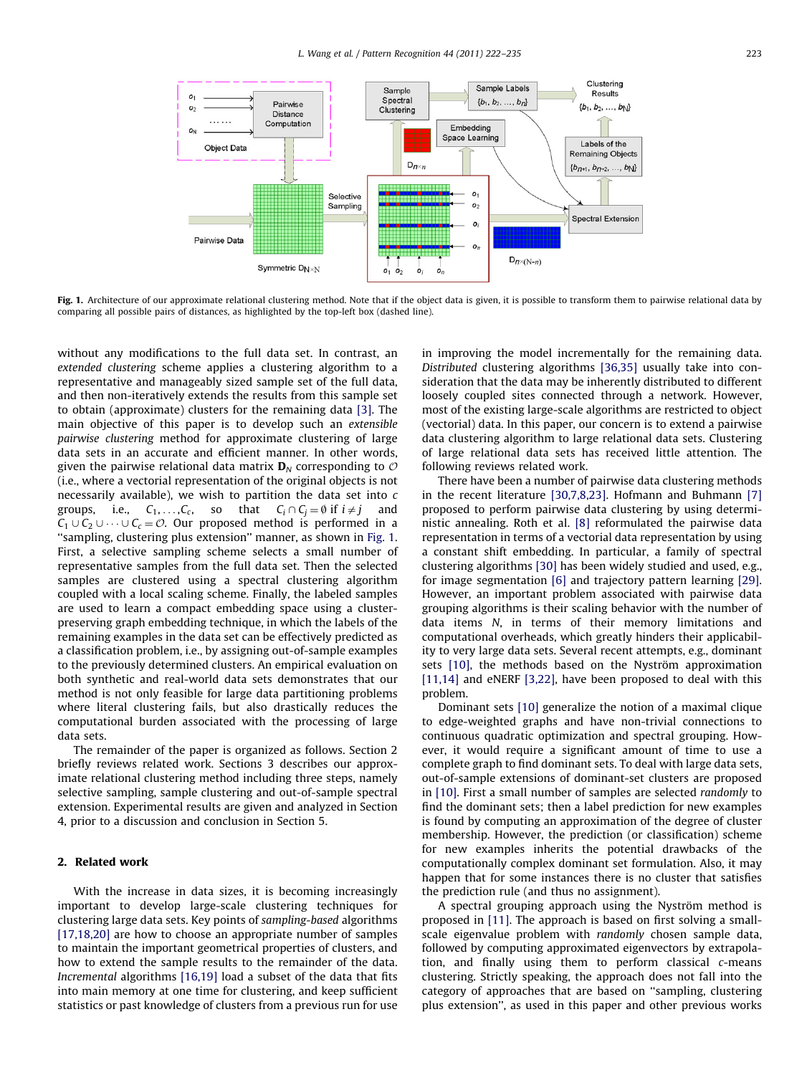

Fig. 1. Architecture of our approximate relational clustering method. Note that if the object data is given, it is possible to transform them to pairwise relational data by comparing all possible pairs of distances, as highlighted by the top-left box (dashed line).

without any modifications to the full data set. In contrast, an extended clustering scheme applies a clustering algorithm to a representative and manageably sized sample set of the full data, and then non-iteratively extends the results from this sample set to obtain (approximate) clusters for the remaining data [\[3\]](#page-12-0). The main objective of this paper is to develop such an extensible pairwise clustering method for approximate clustering of large data sets in an accurate and efficient manner. In other words, given the pairwise relational data matrix  $\mathbf{D}_N$  corresponding to  $\mathcal{O}$ (i.e., where a vectorial representation of the original objects is not necessarily available), we wish to partition the data set into c groups, i.e.,  $C_1, \ldots, C_c$ , so that  $C_i \cap C_j = \emptyset$  if  $i \neq j$  and  $C_1 \cup C_2 \cup \cdots \cup C_c = \mathcal{O}$ . Our proposed method is performed in a ''sampling, clustering plus extension'' manner, as shown in Fig. 1. First, a selective sampling scheme selects a small number of representative samples from the full data set. Then the selected samples are clustered using a spectral clustering algorithm coupled with a local scaling scheme. Finally, the labeled samples are used to learn a compact embedding space using a clusterpreserving graph embedding technique, in which the labels of the remaining examples in the data set can be effectively predicted as a classification problem, i.e., by assigning out-of-sample examples to the previously determined clusters. An empirical evaluation on both synthetic and real-world data sets demonstrates that our method is not only feasible for large data partitioning problems where literal clustering fails, but also drastically reduces the computational burden associated with the processing of large data sets.

The remainder of the paper is organized as follows. Section 2 briefly reviews related work. Sections 3 describes our approximate relational clustering method including three steps, namely selective sampling, sample clustering and out-of-sample spectral extension. Experimental results are given and analyzed in Section 4, prior to a discussion and conclusion in Section 5.

# 2. Related work

With the increase in data sizes, it is becoming increasingly important to develop large-scale clustering techniques for clustering large data sets. Key points of sampling-based algorithms [\[17,18,20\]](#page-12-0) are how to choose an appropriate number of samples to maintain the important geometrical properties of clusters, and how to extend the sample results to the remainder of the data. Incremental algorithms [\[16,19\]](#page-12-0) load a subset of the data that fits into main memory at one time for clustering, and keep sufficient statistics or past knowledge of clusters from a previous run for use in improving the model incrementally for the remaining data. Distributed clustering algorithms [\[36,35\]](#page-12-0) usually take into consideration that the data may be inherently distributed to different loosely coupled sites connected through a network. However, most of the existing large-scale algorithms are restricted to object (vectorial) data. In this paper, our concern is to extend a pairwise data clustering algorithm to large relational data sets. Clustering of large relational data sets has received little attention. The following reviews related work.

There have been a number of pairwise data clustering methods in the recent literature [\[30,7,8,23\]](#page-12-0). Hofmann and Buhmann [\[7\]](#page-12-0) proposed to perform pairwise data clustering by using deterministic annealing. Roth et al. [\[8\]](#page-12-0) reformulated the pairwise data representation in terms of a vectorial data representation by using a constant shift embedding. In particular, a family of spectral clustering algorithms [\[30\]](#page-12-0) has been widely studied and used, e.g., for image segmentation [\[6\]](#page-12-0) and trajectory pattern learning [\[29\].](#page-12-0) However, an important problem associated with pairwise data grouping algorithms is their scaling behavior with the number of data items N, in terms of their memory limitations and computational overheads, which greatly hinders their applicability to very large data sets. Several recent attempts, e.g., dominant sets [\[10\],](#page-12-0) the methods based on the Nyström approximation [\[11,14\]](#page-12-0) and eNERF [\[3,22\],](#page-12-0) have been proposed to deal with this problem.

Dominant sets [\[10\]](#page-12-0) generalize the notion of a maximal clique to edge-weighted graphs and have non-trivial connections to continuous quadratic optimization and spectral grouping. However, it would require a significant amount of time to use a complete graph to find dominant sets. To deal with large data sets, out-of-sample extensions of dominant-set clusters are proposed in [\[10\]](#page-12-0). First a small number of samples are selected randomly to find the dominant sets; then a label prediction for new examples is found by computing an approximation of the degree of cluster membership. However, the prediction (or classification) scheme for new examples inherits the potential drawbacks of the computationally complex dominant set formulation. Also, it may happen that for some instances there is no cluster that satisfies the prediction rule (and thus no assignment).

A spectral grouping approach using the Nyström method is proposed in [\[11\].](#page-12-0) The approach is based on first solving a smallscale eigenvalue problem with randomly chosen sample data, followed by computing approximated eigenvectors by extrapolation, and finally using them to perform classical c-means clustering. Strictly speaking, the approach does not fall into the category of approaches that are based on ''sampling, clustering plus extension'', as used in this paper and other previous works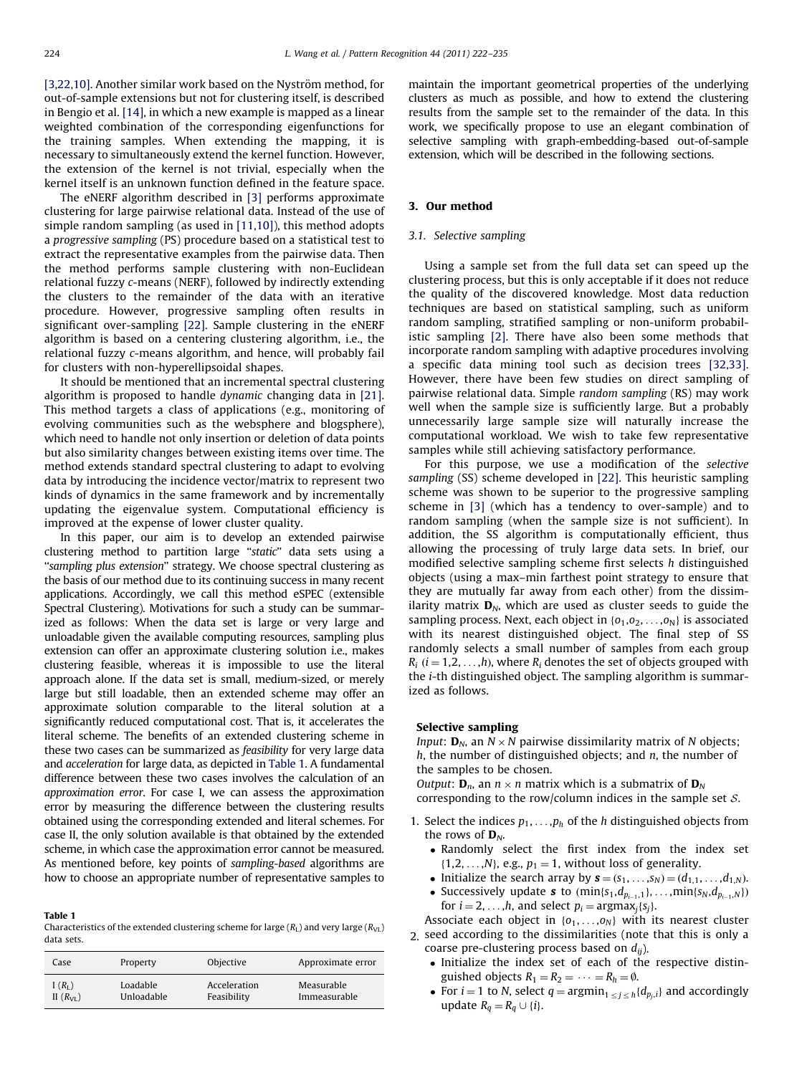[\[3,22,10\].](#page-12-0) Another similar work based on the Nyström method, for out-of-sample extensions but not for clustering itself, is described in Bengio et al. [\[14\]](#page-12-0), in which a new example is mapped as a linear weighted combination of the corresponding eigenfunctions for the training samples. When extending the mapping, it is necessary to simultaneously extend the kernel function. However, the extension of the kernel is not trivial, especially when the kernel itself is an unknown function defined in the feature space.

The eNERF algorithm described in [\[3\]](#page-12-0) performs approximate clustering for large pairwise relational data. Instead of the use of simple random sampling (as used in [\[11,10\]\)](#page-12-0), this method adopts a progressive sampling (PS) procedure based on a statistical test to extract the representative examples from the pairwise data. Then the method performs sample clustering with non-Euclidean relational fuzzy c-means (NERF), followed by indirectly extending the clusters to the remainder of the data with an iterative procedure. However, progressive sampling often results in significant over-sampling [\[22\]](#page-12-0). Sample clustering in the eNERF algorithm is based on a centering clustering algorithm, i.e., the relational fuzzy c-means algorithm, and hence, will probably fail for clusters with non-hyperellipsoidal shapes.

It should be mentioned that an incremental spectral clustering algorithm is proposed to handle dynamic changing data in [\[21\].](#page-12-0) This method targets a class of applications (e.g., monitoring of evolving communities such as the websphere and blogsphere), which need to handle not only insertion or deletion of data points but also similarity changes between existing items over time. The method extends standard spectral clustering to adapt to evolving data by introducing the incidence vector/matrix to represent two kinds of dynamics in the same framework and by incrementally updating the eigenvalue system. Computational efficiency is improved at the expense of lower cluster quality.

In this paper, our aim is to develop an extended pairwise clustering method to partition large ''static'' data sets using a ''sampling plus extension'' strategy. We choose spectral clustering as the basis of our method due to its continuing success in many recent applications. Accordingly, we call this method eSPEC (extensible Spectral Clustering). Motivations for such a study can be summarized as follows: When the data set is large or very large and unloadable given the available computing resources, sampling plus extension can offer an approximate clustering solution i.e., makes clustering feasible, whereas it is impossible to use the literal approach alone. If the data set is small, medium-sized, or merely large but still loadable, then an extended scheme may offer an approximate solution comparable to the literal solution at a significantly reduced computational cost. That is, it accelerates the literal scheme. The benefits of an extended clustering scheme in these two cases can be summarized as feasibility for very large data and acceleration for large data, as depicted in Table 1. A fundamental difference between these two cases involves the calculation of an approximation error. For case I, we can assess the approximation error by measuring the difference between the clustering results obtained using the corresponding extended and literal schemes. For case II, the only solution available is that obtained by the extended scheme, in which case the approximation error cannot be measured. As mentioned before, key points of sampling-based algorithms are how to choose an appropriate number of representative samples to

#### Table 1

Characteristics of the extended clustering scheme for large  $(R_L)$  and very large  $(R_{VL})$ data sets.

| Case           | Property   | Objective    | Approximate error |
|----------------|------------|--------------|-------------------|
| $I(R_1)$       | Loadable   | Acceleration | Measurable        |
| II $(R_{VI.})$ | Unloadable | Feasibility  | Immeasurable      |

maintain the important geometrical properties of the underlying clusters as much as possible, and how to extend the clustering results from the sample set to the remainder of the data. In this work, we specifically propose to use an elegant combination of selective sampling with graph-embedding-based out-of-sample extension, which will be described in the following sections.

# 3. Our method

# 3.1. Selective sampling

Using a sample set from the full data set can speed up the clustering process, but this is only acceptable if it does not reduce the quality of the discovered knowledge. Most data reduction techniques are based on statistical sampling, such as uniform random sampling, stratified sampling or non-uniform probabilistic sampling [\[2\]](#page-12-0). There have also been some methods that incorporate random sampling with adaptive procedures involving a specific data mining tool such as decision trees [\[32,33\].](#page-12-0) However, there have been few studies on direct sampling of pairwise relational data. Simple random sampling (RS) may work well when the sample size is sufficiently large. But a probably unnecessarily large sample size will naturally increase the computational workload. We wish to take few representative samples while still achieving satisfactory performance.

For this purpose, we use a modification of the selective sampling (SS) scheme developed in [\[22\].](#page-12-0) This heuristic sampling scheme was shown to be superior to the progressive sampling scheme in [\[3\]](#page-12-0) (which has a tendency to over-sample) and to random sampling (when the sample size is not sufficient). In addition, the SS algorithm is computationally efficient, thus allowing the processing of truly large data sets. In brief, our modified selective sampling scheme first selects h distinguished objects (using a max–min farthest point strategy to ensure that they are mutually far away from each other) from the dissimilarity matrix  $D_N$ , which are used as cluster seeds to guide the sampling process. Next, each object in  $\{0_1,0_2,\ldots,0_N\}$  is associated with its nearest distinguished object. The final step of SS randomly selects a small number of samples from each group  $R_i$  ( $i = 1,2,...,h$ ), where  $R_i$  denotes the set of objects grouped with the i-th distinguished object. The sampling algorithm is summarized as follows.

## Selective sampling

*Input*:  $D_N$ , an  $N \times N$  pairwise dissimilarity matrix of N objects;  $h$ , the number of distinguished objects; and  $n$ , the number of the samples to be chosen.

*Output*: **D**<sub>n</sub>, an  $n \times n$  matrix which is a submatrix of **D**<sub>N</sub> corresponding to the row/column indices in the sample set  $S$ .

- 1. Select the indices  $p_1, \ldots, p_h$  of the h distinguished objects from the rows of  $D_{N}$ .
	- Randomly select the first index from the index set  $\{1,2,\ldots,N\}$ , e.g.,  $p_1 = 1$ , without loss of generality.
	- Initialize the search array by  $\mathbf{s} = (s_1, \ldots, s_N) = (d_{1,1}, \ldots, d_{1,N})$ .
	- Successively update **s** to  $(\min\{s_1,d_{p_{i-1},1}\},\ldots,\min\{s_N,d_{p_{i-1},N}\})$ for  $i = 2, \ldots, h$ , and select  $p_i = \text{argmax}_i\{s_i\}.$

2. seed according to the dissimilarities (note that this is only a Associate each object in  $\{o_1, \ldots, o_N\}$  with its nearest cluster coarse pre-clustering process based on  $d_{ii}$ ).

- Initialize the index set of each of the respective distinguished objects  $R_1 = R_2 = \cdots = R_h = \emptyset$ .
- For  $i = 1$  to N, select  $q = \argmin_{1 \leq i \leq h} \{d_{p,i}\}\$  and accordingly update  $R_q = R_q \cup \{i\}.$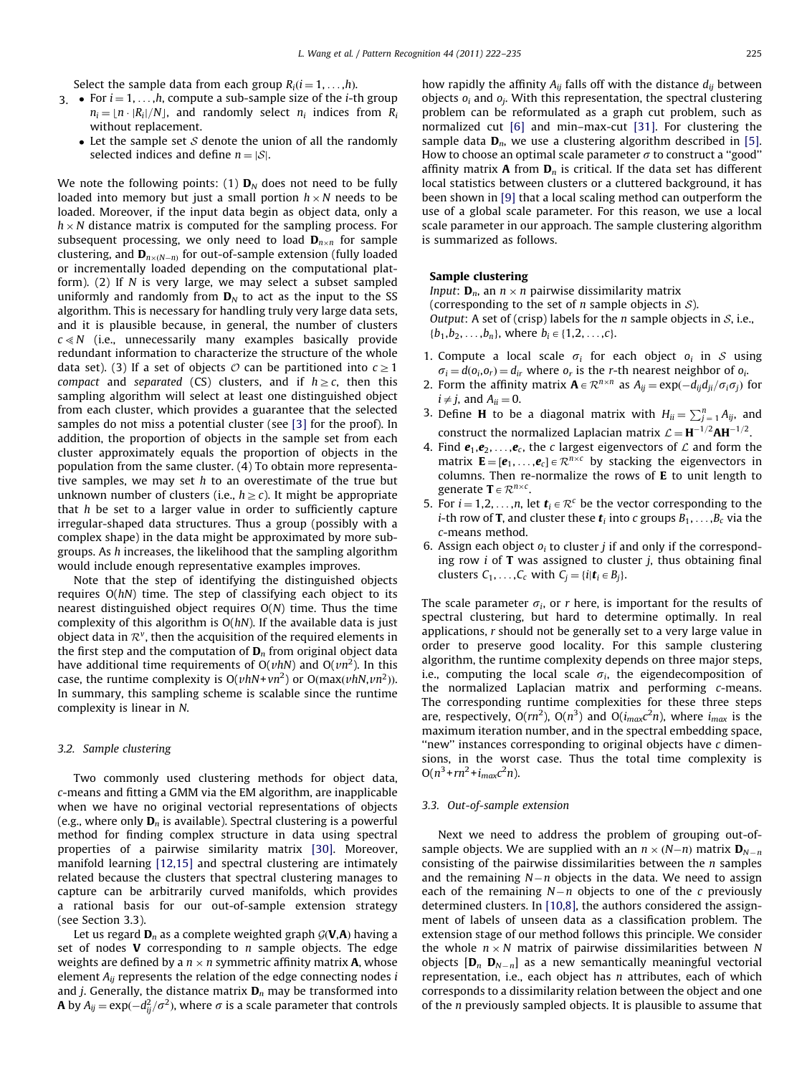Select the sample data from each group  $R_i(i = 1, \ldots, h)$ .

- 3. For  $i = 1, \ldots, h$ , compute a sub-sample size of the *i*-th group  $n_i = \lfloor n \cdot |R_i|/N \rfloor$ , and randomly select  $n_i$  indices from  $R_i$ without replacement.
	- Let the sample set  $S$  denote the union of all the randomly selected indices and define  $n = |S|$ .

We note the following points: (1)  $D_N$  does not need to be fully loaded into memory but just a small portion  $h \times N$  needs to be loaded. Moreover, if the input data begin as object data, only a  $h \times N$  distance matrix is computed for the sampling process. For subsequent processing, we only need to load  $\mathbf{D}_{n \times n}$  for sample clustering, and  $\mathbf{D}_{n\times (N-n)}$  for out-of-sample extension (fully loaded or incrementally loaded depending on the computational platform). (2) If N is very large, we may select a subset sampled uniformly and randomly from  $D_N$  to act as the input to the SS algorithm. This is necessary for handling truly very large data sets, and it is plausible because, in general, the number of clusters  $c \ll N$  (i.e., unnecessarily many examples basically provide redundant information to characterize the structure of the whole data set). (3) If a set of objects  $\mathcal O$  can be partitioned into  $c\geq 1$ compact and separated (CS) clusters, and if  $h \geq c$ , then this sampling algorithm will select at least one distinguished object from each cluster, which provides a guarantee that the selected samples do not miss a potential cluster (see [\[3\]](#page-12-0) for the proof). In addition, the proportion of objects in the sample set from each cluster approximately equals the proportion of objects in the population from the same cluster. (4) To obtain more representative samples, we may set  $h$  to an overestimate of the true but unknown number of clusters (i.e.,  $h \geq c$ ). It might be appropriate that  $h$  be set to a larger value in order to sufficiently capture irregular-shaped data structures. Thus a group (possibly with a complex shape) in the data might be approximated by more subgroups. As h increases, the likelihood that the sampling algorithm would include enough representative examples improves.

Note that the step of identifying the distinguished objects requires  $O(hN)$  time. The step of classifying each object to its nearest distinguished object requires O(N) time. Thus the time complexity of this algorithm is  $O(hN)$ . If the available data is just object data in  $\mathcal{R}^{\nu}$ , then the acquisition of the required elements in the first step and the computation of  $\mathbf{D}_n$  from original object data have additional time requirements of O(vhN) and O(vn<sup>2</sup>). In this case, the runtime complexity is  $O(\nu hN + \nu n^2)$  or  $O(\max(\nu hN, \nu n^2))$ . In summary, this sampling scheme is scalable since the runtime complexity is linear in N.

# 3.2. Sample clustering

Two commonly used clustering methods for object data, c-means and fitting a GMM via the EM algorithm, are inapplicable when we have no original vectorial representations of objects (e.g., where only  $D_n$  is available). Spectral clustering is a powerful method for finding complex structure in data using spectral properties of a pairwise similarity matrix [\[30\].](#page-12-0) Moreover, manifold learning [\[12,15\]](#page-12-0) and spectral clustering are intimately related because the clusters that spectral clustering manages to capture can be arbitrarily curved manifolds, which provides a rational basis for our out-of-sample extension strategy (see Section 3.3).

Let us regard  $D_n$  as a complete weighted graph  $G(V,A)$  having a set of nodes **V** corresponding to *n* sample objects. The edge weights are defined by a  $n\times n$  symmetric affinity matrix **A**, whose element  $A_{ii}$  represents the relation of the edge connecting nodes i and *j*. Generally, the distance matrix  $D_n$  may be transformed into **A** by  $A_{ij} = \exp(-d_{ij}^2/\sigma^2)$ , where  $\sigma$  is a scale parameter that controls

how rapidly the affinity  $A_{ij}$  falls off with the distance  $d_{ij}$  between objects  $o_i$  and  $o_j$ . With this representation, the spectral clustering problem can be reformulated as a graph cut problem, such as normalized cut [\[6\]](#page-12-0) and min–max-cut [\[31\].](#page-12-0) For clustering the sample data  $\mathbf{D}_n$ , we use a clustering algorithm described in [\[5\].](#page-12-0) How to choose an optimal scale parameter  $\sigma$  to construct a "good" affinity matrix **A** from  $D_n$  is critical. If the data set has different local statistics between clusters or a cluttered background, it has been shown in [\[9\]](#page-12-0) that a local scaling method can outperform the use of a global scale parameter. For this reason, we use a local scale parameter in our approach. The sample clustering algorithm is summarized as follows.

# Sample clustering

*Input*: **D**<sub>n</sub>, an  $n \times n$  pairwise dissimilarity matrix (corresponding to the set of *n* sample objects in  $S$ ). Output: A set of (crisp) labels for the *n* sample objects in  $S$ , i.e.,  ${b_1, b_2, \ldots, b_n}$ , where  $b_i \in \{1, 2, \ldots, c\}$ .

- 1. Compute a local scale  $\sigma_i$  for each object  $o_i$  in S using  $\sigma_i = d(o_i, o_r) = d_{ir}$  where  $o_r$  is the r-th nearest neighbor of  $o_i$ .
- 2. Form the affinity matrix  $\mathbf{A} \in \mathcal{R}^{n \times n}$  as  $A_{ij} = \exp(-d_{ij}d_{ji}/\sigma_i \sigma_j)$  for  $i \neq j$ , and  $A_{ii} = 0$ .
- 3. Define **H** to be a diagonal matrix with  $H_{ii} = \sum_{j=1}^{n} A_{ij}$ , and construct the normalized Laplacian matrix  $\mathcal{L} = H^{-1/2}AH^{-1/2}$ .
- 4. Find  $e_1, e_2, \ldots, e_c$ , the c largest eigenvectors of  $\mathcal L$  and form the matrix  $\mathbf{E} = [\mathbf{e}_1, \dots, \mathbf{e}_c] \in \mathbb{R}^{n \times c}$  by stacking the eigenvectors in columns. Then re-normalize the rows of E to unit length to generate  $\mathbf{T} \in \mathcal{R}^{n \times c}$ .
- 5. For  $i = 1,2,...,n$ , let  $t_i \in \mathcal{R}^c$  be the vector corresponding to the *i*-th row of **T**, and cluster these  $t_i$  into c groups  $B_1, \ldots, B_c$  via the c-means method.
- 6. Assign each object  $o_i$  to cluster *j* if and only if the corresponding row  $i$  of **T** was assigned to cluster  $j$ , thus obtaining final clusters  $C_1, \ldots, C_c$  with  $C_i = \{i | \mathbf{t}_i \in B_i\}.$

The scale parameter  $\sigma_i$ , or r here, is important for the results of spectral clustering, but hard to determine optimally. In real applications, r should not be generally set to a very large value in order to preserve good locality. For this sample clustering algorithm, the runtime complexity depends on three major steps, i.e., computing the local scale  $\sigma_i$ , the eigendecomposition of the normalized Laplacian matrix and performing c-means. The corresponding runtime complexities for these three steps are, respectively, O( $m^2$ ), O( $n^3$ ) and O( $i_{max}c^2n$ ), where  $i_{max}$  is the maximum iteration number, and in the spectral embedding space, "new" instances corresponding to original objects have c dimensions, in the worst case. Thus the total time complexity is  $O(n^3 + rn^2 + i_{max}c^2n)$ .

# 3.3. Out-of-sample extension

Next we need to address the problem of grouping out-ofsample objects. We are supplied with an  $n\times (N\!-\!n)$  matrix  $\mathbf{D}_{N-n}$ consisting of the pairwise dissimilarities between the  $n$  samples and the remaining  $N-n$  objects in the data. We need to assign each of the remaining  $N-n$  objects to one of the c previously determined clusters. In [\[10,8\]](#page-12-0), the authors considered the assignment of labels of unseen data as a classification problem. The extension stage of our method follows this principle. We consider the whole  $n \times N$  matrix of pairwise dissimilarities between N objects  $[D_n D_{N-n}]$  as a new semantically meaningful vectorial representation, i.e., each object has  $n$  attributes, each of which corresponds to a dissimilarity relation between the object and one of the n previously sampled objects. It is plausible to assume that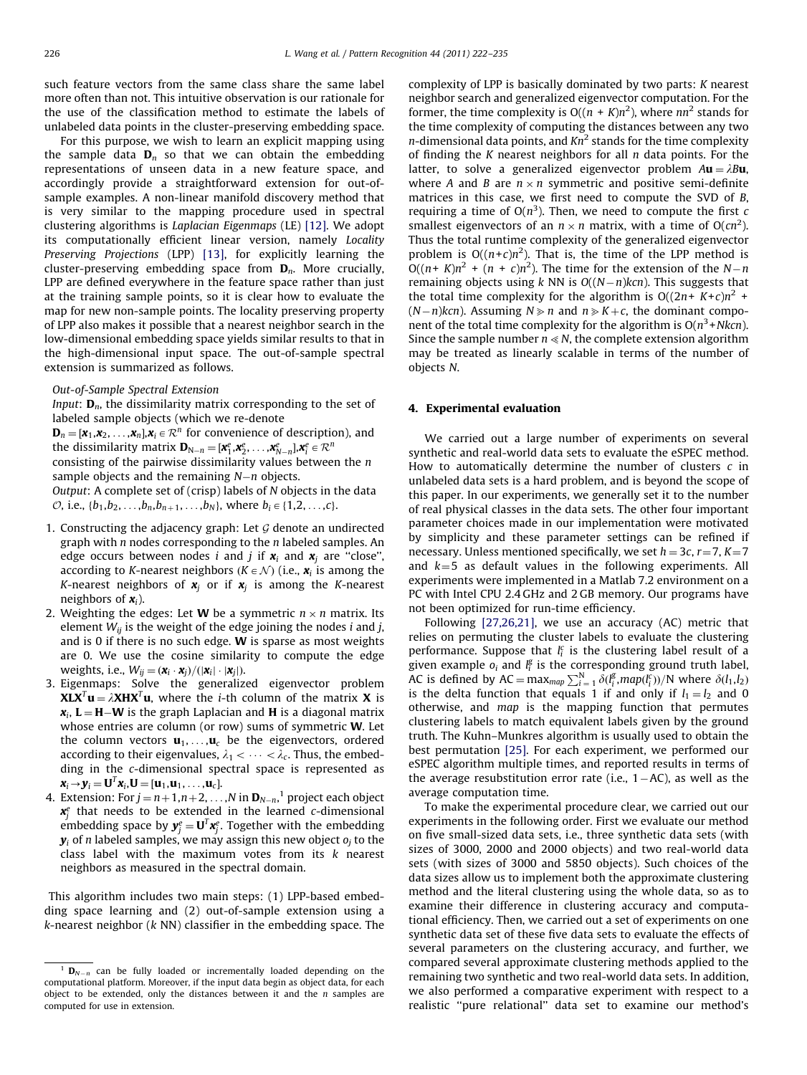such feature vectors from the same class share the same label more often than not. This intuitive observation is our rationale for the use of the classification method to estimate the labels of unlabeled data points in the cluster-preserving embedding space.

For this purpose, we wish to learn an explicit mapping using the sample data  $D_n$  so that we can obtain the embedding representations of unseen data in a new feature space, and accordingly provide a straightforward extension for out-ofsample examples. A non-linear manifold discovery method that is very similar to the mapping procedure used in spectral clustering algorithms is Laplacian Eigenmaps (LE) [\[12\].](#page-12-0) We adopt its computationally efficient linear version, namely Locality Preserving Projections (LPP) [\[13\],](#page-12-0) for explicitly learning the cluster-preserving embedding space from  $D_n$ . More crucially, LPP are defined everywhere in the feature space rather than just at the training sample points, so it is clear how to evaluate the map for new non-sample points. The locality preserving property of LPP also makes it possible that a nearest neighbor search in the low-dimensional embedding space yields similar results to that in the high-dimensional input space. The out-of-sample spectral extension is summarized as follows.

# Out-of-Sample Spectral Extension

*Input*:  $\mathbf{D}_n$ , the dissimilarity matrix corresponding to the set of labeled sample objects (which we re-denote

 $\mathbf{D}_n = [\mathbf{x}_1, \mathbf{x}_2, \dots, \mathbf{x}_n], \mathbf{x}_i \in \mathbb{R}^n$  for convenience of description), and the dissimilarity matrix  $\mathbf{D}_{N-n}=[\mathbf{x}_1^e,\mathbf{x}_2^e,\ldots,\mathbf{x}_{N-n}^e],\mathbf{x}_i^e\in\mathcal{R}^n$ consisting of the pairwise dissimilarity values between the  $n$ sample objects and the remaining  $N-n$  objects. Output: A complete set of (crisp) labels of N objects in the data

 $\mathcal{O}$ , i.e.,  $\{b_1, b_2, \ldots, b_n, b_{n+1}, \ldots, b_N\}$ , where  $b_i \in \{1, 2, \ldots, c\}$ .

- 1. Constructing the adjacency graph: Let  $G$  denote an undirected graph with  $n$  nodes corresponding to the  $n$  labeled samples. An edge occurs between nodes *i* and *j* if  $x_i$  and  $x_j$  are "close", according to K-nearest neighbors ( $K \in \mathcal{N}$ ) (i.e.,  $\mathbf{x}_i$  is among the K-nearest neighbors of  $x_i$  or if  $x_i$  is among the K-nearest neighbors of  $x_i$ ).
- 2. Weighting the edges: Let **W** be a symmetric  $n\times n$  matrix. Its element  $W_{ij}$  is the weight of the edge joining the nodes *i* and *j*, and is 0 if there is no such edge. W is sparse as most weights are 0. We use the cosine similarity to compute the edge weights, i.e.,  $W_{ij} = (\mathbf{x}_i \cdot \mathbf{x}_j)/(|\mathbf{x}_i| \cdot |\mathbf{x}_i|)$ .
- 3. Eigenmaps: Solve the generalized eigenvector problem  $X L X^{T} u = \lambda X H X^{T} u$ , where the *i*-th column of the matrix X is  $x_i$ ,  $L = H-W$  is the graph Laplacian and H is a diagonal matrix whose entries are column (or row) sums of symmetric **W**. Let the column vectors  $\mathbf{u}_1, \ldots, \mathbf{u}_c$  be the eigenvectors, ordered according to their eigenvalues,  $\lambda_1 < \cdots < \lambda_c$ . Thus, the embedding in the c-dimensional spectral space is represented as  $\mathbf{x}_i \rightarrow \mathbf{y}_i = \mathbf{U}^T \mathbf{x}_i, \mathbf{U} = [\mathbf{u}_1, \mathbf{u}_1, \dots, \mathbf{u}_c].$
- 4. Extension: For  $j$  =  $n$  + 1, $n$  + 2,  $\dots$  ,N in  ${\bf D}_{N-n},^{-1}$  project each object  $\mathbf{x}_j^e$  that needs to be extended in the learned c-dimensional embedding space by  $\bm{y}_j^e = \mathbf{U}^T\bm{x}_j^e.$  Together with the embedding  $y_i$  of n labeled samples, we may assign this new object  $o_i$  to the class label with the maximum votes from its  $k$  nearest neighbors as measured in the spectral domain.

This algorithm includes two main steps: (1) LPP-based embedding space learning and (2) out-of-sample extension using a  $k$ -nearest neighbor ( $k$  NN) classifier in the embedding space. The

complexity of LPP is basically dominated by two parts: K nearest neighbor search and generalized eigenvector computation. For the former, the time complexity is  $O((n + K)n^2)$ , where  $nn^2$  stands for the time complexity of computing the distances between any two *n*-dimensional data points, and  $Kn^2$  stands for the time complexity of finding the K nearest neighbors for all  $n$  data points. For the latter, to solve a generalized eigenvector problem  $Au = \lambda Bu$ , where A and B are  $n \times n$  symmetric and positive semi-definite matrices in this case, we first need to compute the SVD of B, requiring a time of  $O(n^3)$ . Then, we need to compute the first  $\alpha$ smallest eigenvectors of an  $n \times n$  matrix, with a time of O(cn<sup>2</sup>). Thus the total runtime complexity of the generalized eigenvector problem is  $O((n+c)n^2)$ . That is, the time of the LPP method is  $O((n+K)n^2 + (n + c)n^2)$ . The time for the extension of the N-n remaining objects using k NN is  $O((N-n)kcn)$ . This suggests that the total time complexity for the algorithm is  $O((2n+K+c)n^2 +$  $(N-n)kcn$ ). Assuming  $N \geq n$  and  $n \geq K+c$ , the dominant component of the total time complexity for the algorithm is  $O(n^3 + Nkcn)$ . Since the sample number  $n \ll N$ , the complete extension algorithm may be treated as linearly scalable in terms of the number of objects N.

# 4. Experimental evaluation

We carried out a large number of experiments on several synthetic and real-world data sets to evaluate the eSPEC method. How to automatically determine the number of clusters  $c$  in unlabeled data sets is a hard problem, and is beyond the scope of this paper. In our experiments, we generally set it to the number of real physical classes in the data sets. The other four important parameter choices made in our implementation were motivated by simplicity and these parameter settings can be refined if necessary. Unless mentioned specifically, we set  $h = 3c$ ,  $r = 7$ ,  $K = 7$ and  $k=5$  as default values in the following experiments. All experiments were implemented in a Matlab 7.2 environment on a PC with Intel CPU 2.4 GHz and 2 GB memory. Our programs have not been optimized for run-time efficiency.

Following [\[27,26,21\],](#page-12-0) we use an accuracy (AC) metric that relies on permuting the cluster labels to evaluate the clustering performance. Suppose that  $l_i^c$  is the clustering label result of a given example  $o_i$  and  $l_i^g$  is the corresponding ground truth label, AC is defined by  $AC = \max_{map} \sum_{i=1}^{N} \delta(\xi_i^g, map(\xi_i^c))/N$  where  $\delta(l_1, l_2)$ is the delta function that equals 1 if and only if  $l_1 = l_2$  and 0 otherwise, and map is the mapping function that permutes clustering labels to match equivalent labels given by the ground truth. The Kuhn–Munkres algorithm is usually used to obtain the best permutation [\[25\].](#page-12-0) For each experiment, we performed our eSPEC algorithm multiple times, and reported results in terms of the average resubstitution error rate (i.e.,  $1 - AC$ ), as well as the average computation time.

To make the experimental procedure clear, we carried out our experiments in the following order. First we evaluate our method on five small-sized data sets, i.e., three synthetic data sets (with sizes of 3000, 2000 and 2000 objects) and two real-world data sets (with sizes of 3000 and 5850 objects). Such choices of the data sizes allow us to implement both the approximate clustering method and the literal clustering using the whole data, so as to examine their difference in clustering accuracy and computational efficiency. Then, we carried out a set of experiments on one synthetic data set of these five data sets to evaluate the effects of several parameters on the clustering accuracy, and further, we compared several approximate clustering methods applied to the remaining two synthetic and two real-world data sets. In addition, we also performed a comparative experiment with respect to a realistic ''pure relational'' data set to examine our method's

 $\mathbf{D}_{N-n}$  can be fully loaded or incrementally loaded depending on the computational platform. Moreover, if the input data begin as object data, for each object to be extended, only the distances between it and the  $n$  samples are computed for use in extension.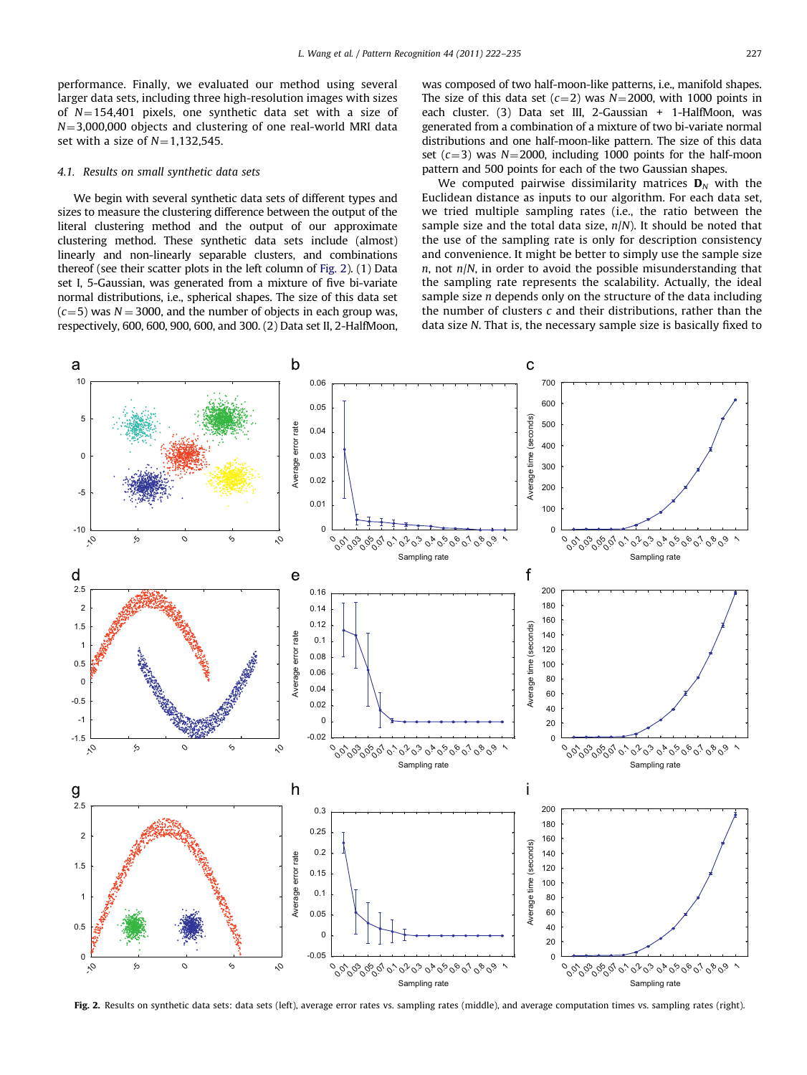<span id="page-5-0"></span>performance. Finally, we evaluated our method using several larger data sets, including three high-resolution images with sizes of  $N=154,401$  pixels, one synthetic data set with a size of  $N=3,000,000$  objects and clustering of one real-world MRI data set with a size of  $N=1,132,545$ .

#### 4.1. Results on small synthetic data sets

We begin with several synthetic data sets of different types and sizes to measure the clustering difference between the output of the literal clustering method and the output of our approximate clustering method. These synthetic data sets include (almost) linearly and non-linearly separable clusters, and combinations thereof (see their scatter plots in the left column of Fig. 2). (1) Data set I, 5-Gaussian, was generated from a mixture of five bi-variate normal distributions, i.e., spherical shapes. The size of this data set  $(c=5)$  was N = 3000, and the number of objects in each group was, respectively, 600, 600, 900, 600, and 300. (2) Data set II, 2-HalfMoon, was composed of two half-moon-like patterns, i.e., manifold shapes. The size of this data set  $(c=2)$  was N=2000, with 1000 points in each cluster. (3) Data set III, 2-Gaussian + 1-HalfMoon, was generated from a combination of a mixture of two bi-variate normal distributions and one half-moon-like pattern. The size of this data set  $(c=3)$  was N=2000, including 1000 points for the half-moon pattern and 500 points for each of the two Gaussian shapes.

We computed pairwise dissimilarity matrices  $D_N$  with the Euclidean distance as inputs to our algorithm. For each data set, we tried multiple sampling rates (i.e., the ratio between the sample size and the total data size,  $n/N$ ). It should be noted that the use of the sampling rate is only for description consistency and convenience. It might be better to simply use the sample size  $n$ , not  $n/N$ , in order to avoid the possible misunderstanding that the sampling rate represents the scalability. Actually, the ideal sample size *n* depends only on the structure of the data including the number of clusters  $c$  and their distributions, rather than the data size N. That is, the necessary sample size is basically fixed to



Fig. 2. Results on synthetic data sets: data sets (left), average error rates vs. sampling rates (middle), and average computation times vs. sampling rates (right).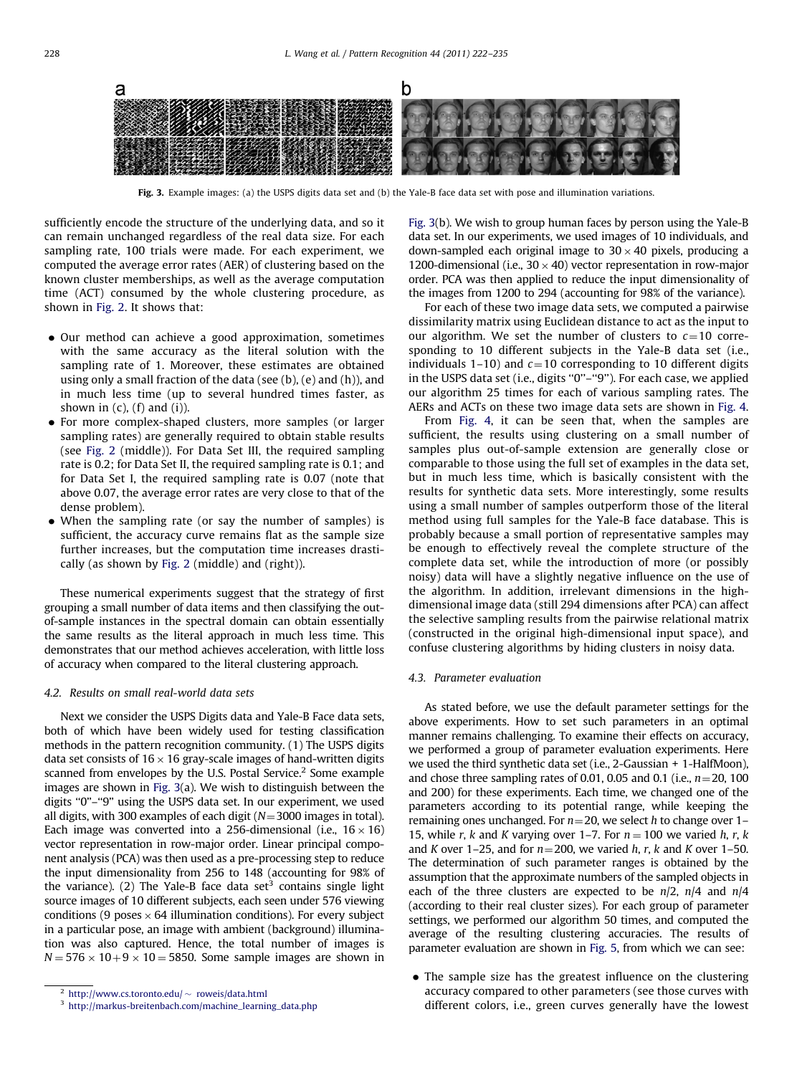

Fig. 3. Example images: (a) the USPS digits data set and (b) the Yale-B face data set with pose and illumination variations.

sufficiently encode the structure of the underlying data, and so it can remain unchanged regardless of the real data size. For each sampling rate, 100 trials were made. For each experiment, we computed the average error rates (AER) of clustering based on the known cluster memberships, as well as the average computation time (ACT) consumed by the whole clustering procedure, as shown in [Fig. 2.](#page-5-0) It shows that:

- Our method can achieve a good approximation, sometimes with the same accuracy as the literal solution with the sampling rate of 1. Moreover, these estimates are obtained using only a small fraction of the data (see  $(b)$ ,  $(e)$  and  $(h)$ ), and in much less time (up to several hundred times faster, as shown in  $(c)$ ,  $(f)$  and  $(i)$ ).
- For more complex-shaped clusters, more samples (or larger sampling rates) are generally required to obtain stable results (see [Fig. 2](#page-5-0) (middle)). For Data Set III, the required sampling rate is 0.2; for Data Set II, the required sampling rate is 0.1; and for Data Set I, the required sampling rate is 0.07 (note that above 0.07, the average error rates are very close to that of the dense problem).
- When the sampling rate (or say the number of samples) is sufficient, the accuracy curve remains flat as the sample size further increases, but the computation time increases drastically (as shown by [Fig. 2](#page-5-0) (middle) and (right)).

These numerical experiments suggest that the strategy of first grouping a small number of data items and then classifying the outof-sample instances in the spectral domain can obtain essentially the same results as the literal approach in much less time. This demonstrates that our method achieves acceleration, with little loss of accuracy when compared to the literal clustering approach.

## 4.2. Results on small real-world data sets

Next we consider the USPS Digits data and Yale-B Face data sets, both of which have been widely used for testing classification methods in the pattern recognition community. (1) The USPS digits data set consists of 16  $\times$  16 gray-scale images of hand-written digits scanned from envelopes by the U.S. Postal Service.<sup>2</sup> Some example images are shown in Fig. 3(a). We wish to distinguish between the digits "0"-"9" using the USPS data set. In our experiment, we used all digits, with 300 examples of each digit ( $N=3000$  images in total). Each image was converted into a 256-dimensional (i.e.,  $16\times16)$ vector representation in row-major order. Linear principal component analysis (PCA) was then used as a pre-processing step to reduce the input dimensionality from 256 to 148 (accounting for 98% of the variance). (2) The Yale-B face data set<sup>3</sup> contains single light source images of 10 different subjects, each seen under 576 viewing conditions (9 poses  $\times$  64 illumination conditions). For every subject in a particular pose, an image with ambient (background) illumination was also captured. Hence, the total number of images is  $N = 576 \times 10 + 9 \times 10 = 5850$ . Some sample images are shown in

Fig. 3(b). We wish to group human faces by person using the Yale-B data set. In our experiments, we used images of 10 individuals, and down-sampled each original image to  $30 \times 40$  pixels, producing a 1200-dimensional (i.e.,  $30 \times 40$ ) vector representation in row-major order. PCA was then applied to reduce the input dimensionality of the images from 1200 to 294 (accounting for 98% of the variance).

For each of these two image data sets, we computed a pairwise dissimilarity matrix using Euclidean distance to act as the input to our algorithm. We set the number of clusters to  $c=10$  corresponding to 10 different subjects in the Yale-B data set (i.e., individuals 1–10) and  $c=10$  corresponding to 10 different digits in the USPS data set (i.e., digits "0"-"9"). For each case, we applied our algorithm 25 times for each of various sampling rates. The AERs and ACTs on these two image data sets are shown in [Fig. 4.](#page-7-0)

From [Fig. 4](#page-7-0), it can be seen that, when the samples are sufficient, the results using clustering on a small number of samples plus out-of-sample extension are generally close or comparable to those using the full set of examples in the data set, but in much less time, which is basically consistent with the results for synthetic data sets. More interestingly, some results using a small number of samples outperform those of the literal method using full samples for the Yale-B face database. This is probably because a small portion of representative samples may be enough to effectively reveal the complete structure of the complete data set, while the introduction of more (or possibly noisy) data will have a slightly negative influence on the use of the algorithm. In addition, irrelevant dimensions in the highdimensional image data (still 294 dimensions after PCA) can affect the selective sampling results from the pairwise relational matrix (constructed in the original high-dimensional input space), and confuse clustering algorithms by hiding clusters in noisy data.

# 4.3. Parameter evaluation

As stated before, we use the default parameter settings for the above experiments. How to set such parameters in an optimal manner remains challenging. To examine their effects on accuracy, we performed a group of parameter evaluation experiments. Here we used the third synthetic data set (i.e., 2-Gaussian + 1-HalfMoon), and chose three sampling rates of 0.01, 0.05 and 0.1 (i.e.,  $n=20, 100$ ) and 200) for these experiments. Each time, we changed one of the parameters according to its potential range, while keeping the remaining ones unchanged. For  $n=20$ , we select h to change over 1– 15, while r, k and K varying over 1–7. For  $n = 100$  we varied h, r, k and K over 1–25, and for  $n=200$ , we varied h, r, k and K over 1–50. The determination of such parameter ranges is obtained by the assumption that the approximate numbers of the sampled objects in each of the three clusters are expected to be  $n/2$ ,  $n/4$  and  $n/4$ (according to their real cluster sizes). For each group of parameter settings, we performed our algorithm 50 times, and computed the average of the resulting clustering accuracies. The results of parameter evaluation are shown in [Fig. 5](#page-8-0), from which we can see:

 The sample size has the greatest influence on the clustering accuracy compared to other parameters (see those curves with different colors, i.e., green curves generally have the lowest

[http://www.cs.toronto.edu/](http://www.cs.toronto.edu/<mml:math altimg=)  $\sim$  [roweis/data.html](http://www.cs.toronto.edu/<mml:math altimg=)

<sup>3</sup> [http://markus-breitenbach.com/machine\\_learning\\_data.php](http://markus-breitenbach.com/machine_learning_data.php)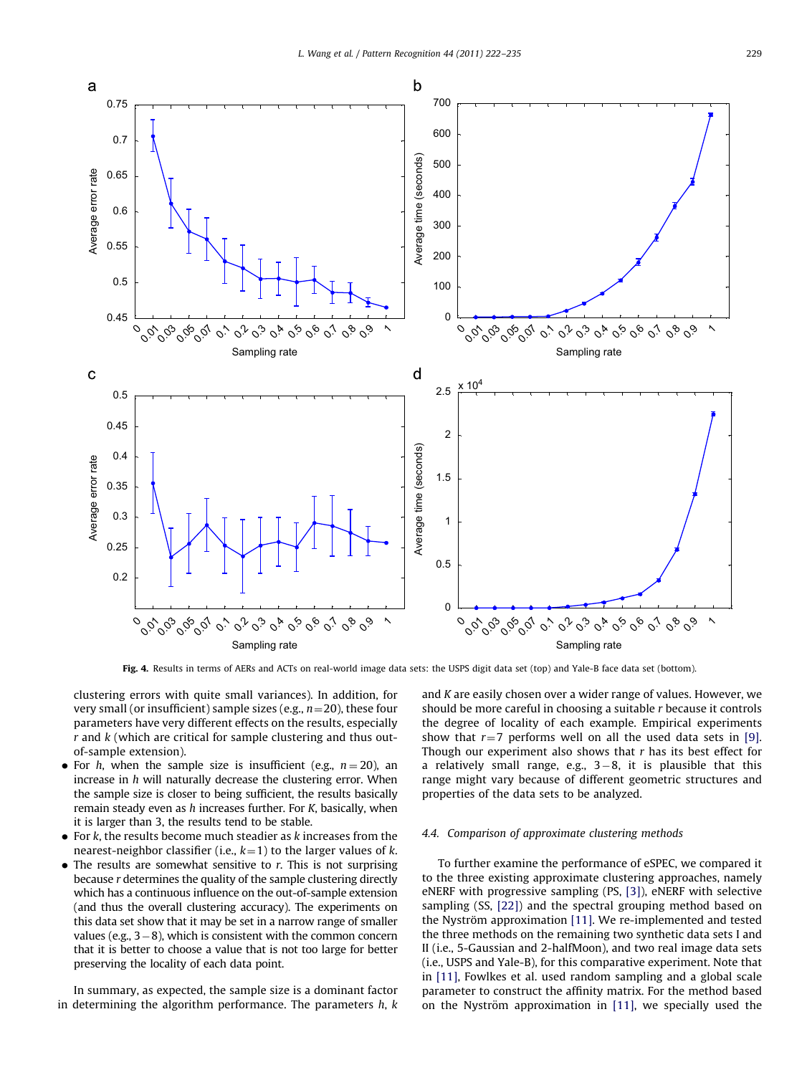<span id="page-7-0"></span>

Fig. 4. Results in terms of AERs and ACTs on real-world image data sets: the USPS digit data set (top) and Yale-B face data set (bottom).

clustering errors with quite small variances). In addition, for very small (or insufficient) sample sizes (e.g.,  $n=20$ ), these four parameters have very different effects on the results, especially  $r$  and  $k$  (which are critical for sample clustering and thus outof-sample extension).

- For h, when the sample size is insufficient (e.g.,  $n = 20$ ), an increase in h will naturally decrease the clustering error. When the sample size is closer to being sufficient, the results basically remain steady even as  $h$  increases further. For  $K$ , basically, when it is larger than 3, the results tend to be stable.
- $\bullet$  For k, the results become much steadier as  $k$  increases from the nearest-neighbor classifier (i.e.,  $k=1$ ) to the larger values of k.
- $\bullet$  The results are somewhat sensitive to r. This is not surprising because r determines the quality of the sample clustering directly which has a continuous influence on the out-of-sample extension (and thus the overall clustering accuracy). The experiments on this data set show that it may be set in a narrow range of smaller values (e.g.,  $3-8$ ), which is consistent with the common concern that it is better to choose a value that is not too large for better preserving the locality of each data point.

In summary, as expected, the sample size is a dominant factor in determining the algorithm performance. The parameters  $h$ ,  $k$  and  $K$  are easily chosen over a wider range of values. However, we should be more careful in choosing a suitable r because it controls the degree of locality of each example. Empirical experiments show that  $r=7$  performs well on all the used data sets in [\[9\].](#page-12-0) Though our experiment also shows that  $r$  has its best effect for a relatively small range, e.g.,  $3-8$ , it is plausible that this range might vary because of different geometric structures and properties of the data sets to be analyzed.

## 4.4. Comparison of approximate clustering methods

To further examine the performance of eSPEC, we compared it to the three existing approximate clustering approaches, namely eNERF with progressive sampling (PS, [\[3\]\)](#page-12-0), eNERF with selective sampling (SS, [\[22\]\)](#page-12-0) and the spectral grouping method based on the Nyström approximation  $[11]$ . We re-implemented and tested the three methods on the remaining two synthetic data sets I and II (i.e., 5-Gaussian and 2-halfMoon), and two real image data sets (i.e., USPS and Yale-B), for this comparative experiment. Note that in [\[11\],](#page-12-0) Fowlkes et al. used random sampling and a global scale parameter to construct the affinity matrix. For the method based on the Nyström approximation in  $[11]$ , we specially used the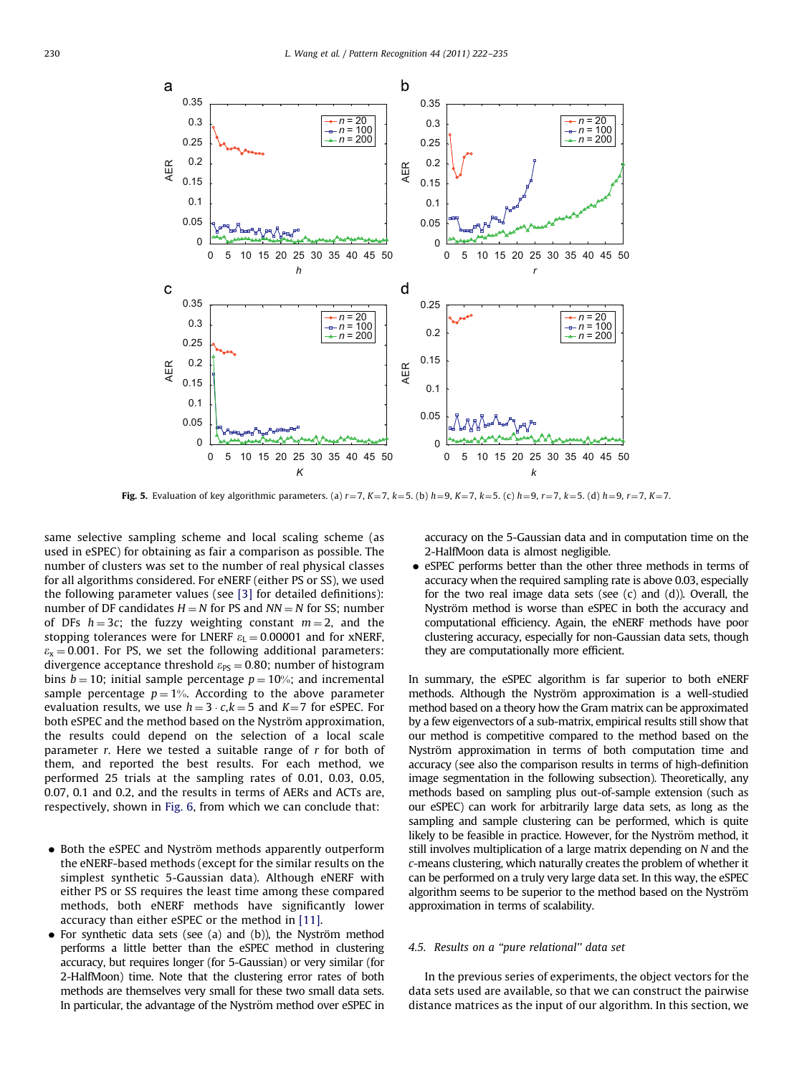<span id="page-8-0"></span>

Fig. 5. Evaluation of key algorithmic parameters. (a)  $r = 7$ ,  $K = 5$ , (b)  $h = 9$ ,  $K = 7$ ,  $k = 5$ , (c)  $h = 9$ ,  $r = 7$ ,  $k = 5$ . (d)  $h = 9$ ,  $r = 7$ ,  $K = 7$ .

same selective sampling scheme and local scaling scheme (as used in eSPEC) for obtaining as fair a comparison as possible. The number of clusters was set to the number of real physical classes for all algorithms considered. For eNERF (either PS or SS), we used the following parameter values (see [\[3\]](#page-12-0) for detailed definitions): number of DF candidates  $H = N$  for PS and  $NN = N$  for SS; number of DFs  $h = 3c$ ; the fuzzy weighting constant  $m = 2$ , and the stopping tolerances were for LNERF  $\varepsilon_L = 0.00001$  and for xNERF,  $\varepsilon_{x} = 0.001$ . For PS, we set the following additional parameters: divergence acceptance threshold  $\varepsilon_{PS} = 0.80$ ; number of histogram bins  $b = 10$ ; initial sample percentage  $p = 10\%$ ; and incremental sample percentage  $p = 1%$ . According to the above parameter evaluation results, we use  $h = 3 \cdot c, k = 5$  and  $K = 7$  for eSPEC. For both eSPEC and the method based on the Nyström approximation, the results could depend on the selection of a local scale parameter  $r$ . Here we tested a suitable range of  $r$  for both of them, and reported the best results. For each method, we performed 25 trials at the sampling rates of 0.01, 0.03, 0.05, 0.07, 0.1 and 0.2, and the results in terms of AERs and ACTs are, respectively, shown in [Fig. 6,](#page-9-0) from which we can conclude that:

- Both the eSPEC and Nyström methods apparently outperform the eNERF-based methods (except for the similar results on the simplest synthetic 5-Gaussian data). Although eNERF with either PS or SS requires the least time among these compared methods, both eNERF methods have significantly lower accuracy than either eSPEC or the method in [\[11\]](#page-12-0).
- For synthetic data sets (see (a) and (b)), the Nyström method performs a little better than the eSPEC method in clustering accuracy, but requires longer (for 5-Gaussian) or very similar (for 2-HalfMoon) time. Note that the clustering error rates of both methods are themselves very small for these two small data sets. In particular, the advantage of the Nyström method over eSPEC in

accuracy on the 5-Gaussian data and in computation time on the 2-HalfMoon data is almost negligible.

 eSPEC performs better than the other three methods in terms of accuracy when the required sampling rate is above 0.03, especially for the two real image data sets (see (c) and (d)). Overall, the Nyström method is worse than eSPEC in both the accuracy and computational efficiency. Again, the eNERF methods have poor clustering accuracy, especially for non-Gaussian data sets, though they are computationally more efficient.

In summary, the eSPEC algorithm is far superior to both eNERF methods. Although the Nyström approximation is a well-studied method based on a theory how the Gram matrix can be approximated by a few eigenvectors of a sub-matrix, empirical results still show that our method is competitive compared to the method based on the Nyström approximation in terms of both computation time and accuracy (see also the comparison results in terms of high-definition image segmentation in the following subsection). Theoretically, any methods based on sampling plus out-of-sample extension (such as our eSPEC) can work for arbitrarily large data sets, as long as the sampling and sample clustering can be performed, which is quite likely to be feasible in practice. However, for the Nyström method, it still involves multiplication of a large matrix depending on N and the c-means clustering, which naturally creates the problem of whether it can be performed on a truly very large data set. In this way, the eSPEC algorithm seems to be superior to the method based on the Nyström approximation in terms of scalability.

# 4.5. Results on a ''pure relational'' data set

In the previous series of experiments, the object vectors for the data sets used are available, so that we can construct the pairwise distance matrices as the input of our algorithm. In this section, we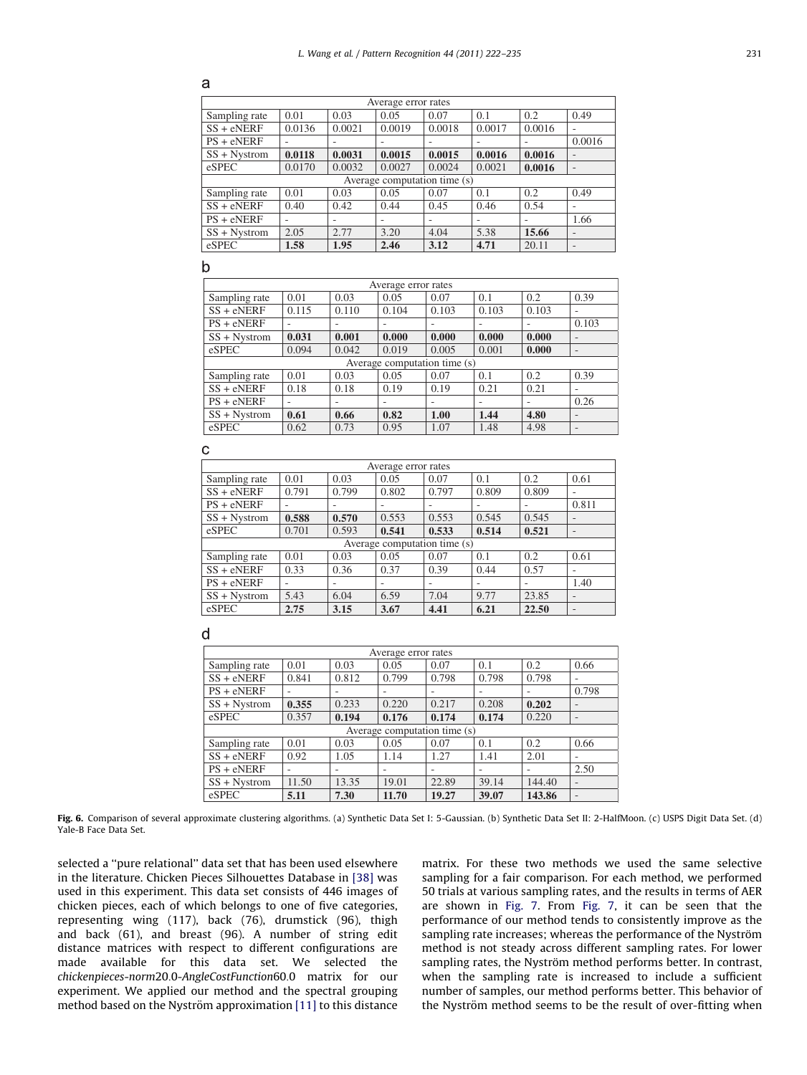# <span id="page-9-0"></span>a

| Average error rates          |        |        |        |        |        |        |        |  |
|------------------------------|--------|--------|--------|--------|--------|--------|--------|--|
| Sampling rate                | 0.01   | 0.03   | 0.05   | 0.07   | 0.1    | 0.2    | 0.49   |  |
| $SS + eNERF$                 | 0.0136 | 0.0021 | 0.0019 | 0.0018 | 0.0017 | 0.0016 |        |  |
| $PS + eNERF$                 | ۰      |        | ۰      | ۰      |        |        | 0.0016 |  |
| $SS + Nystrom$               | 0.0118 | 0.0031 | 0.0015 | 0.0015 | 0.0016 | 0.0016 |        |  |
| eSPEC                        | 0.0170 | 0.0032 | 0.0027 | 0.0024 | 0.0021 | 0.0016 |        |  |
| Average computation time (s) |        |        |        |        |        |        |        |  |
| Sampling rate                | 0.01   | 0.03   | 0.05   | 0.07   | 0.1    | 0.2    | 0.49   |  |
| $SS + eNERF$                 | 0.40   | 0.42   | 0.44   | 0.45   | 0.46   | 0.54   |        |  |
| $PS + eNERF$                 | ۰      |        |        | ۰      |        |        | 1.66   |  |
| $SS + Nvstrom$               | 2.05   | 2.77   | 3.20   | 4.04   | 5.38   | 15.66  |        |  |
| eSPEC                        | 1.58   | 1.95   | 2.46   | 3.12   | 4.71   | 20.11  |        |  |

# $\mathsf b$

| Average error rates |                              |       |       |       |       |       |                          |  |  |
|---------------------|------------------------------|-------|-------|-------|-------|-------|--------------------------|--|--|
| Sampling rate       | 0.01                         | 0.03  | 0.05  | 0.07  | 0.1   | 0.2   | 0.39                     |  |  |
| $SS + eNERF$        | 0.115                        | 0.110 | 0.104 | 0.103 | 0.103 | 0.103 | -                        |  |  |
| $PS + eNERF$        |                              |       |       | ۰     |       |       | 0.103                    |  |  |
| $SS + Nvstrom$      | 0.031                        | 0.001 | 0.000 | 0.000 | 0.000 | 0.000 | $\overline{\phantom{a}}$ |  |  |
| eSPEC               | 0.094                        | 0.042 | 0.019 | 0.005 | 0.001 | 0.000 | $\qquad \qquad -$        |  |  |
|                     | Average computation time (s) |       |       |       |       |       |                          |  |  |
| Sampling rate       | 0.01                         | 0.03  | 0.05  | 0.07  | 0.1   | 0.2   | 0.39                     |  |  |
| $SS + eNERF$        | 0.18                         | 0.18  | 0.19  | 0.19  | 0.21  | 0.21  | -                        |  |  |
| $PS + eNERF$        |                              | ۰     |       | ۰     |       | -     | 0.26                     |  |  |
| $SS + Nystrom$      | 0.61                         | 0.66  | 0.82  | 1.00  | 1.44  | 4.80  | $\overline{\phantom{a}}$ |  |  |
| eSPEC               | 0.62                         | 0.73  | 0.95  | 1.07  | 1.48  | 4.98  |                          |  |  |

# $\overline{C}$

| Average error rates          |       |       |       |       |       |                          |       |  |
|------------------------------|-------|-------|-------|-------|-------|--------------------------|-------|--|
| Sampling rate                | 0.01  | 0.03  | 0.05  | 0.07  | 0.1   | 0.2                      | 0.61  |  |
| $SS + eNERF$                 | 0.791 | 0.799 | 0.802 | 0.797 | 0.809 | 0.809                    |       |  |
| $PS + eNERF$                 |       |       | ۰     |       |       |                          | 0.811 |  |
| $SS + Nystrom$               | 0.588 | 0.570 | 0.553 | 0.553 | 0.545 | 0.545                    |       |  |
| eSPEC                        | 0.701 | 0.593 | 0.541 | 0.533 | 0.514 | 0.521                    |       |  |
| Average computation time (s) |       |       |       |       |       |                          |       |  |
| Sampling rate                | 0.01  | 0.03  | 0.05  | 0.07  | 0.1   | 0.2                      | 0.61  |  |
| $SS + eNERF$                 | 0.33  | 0.36  | 0.37  | 0.39  | 0.44  | 0.57                     |       |  |
| $PS + eNERF$                 |       |       | ۰     |       |       | $\overline{\phantom{a}}$ | 1.40  |  |
| $SS + Nystrom$               | 5.43  | 6.04  | 6.59  | 7.04  | 9.77  | 23.85                    |       |  |
| eSPEC                        | 2.75  | 3.15  | 3.67  | 4.41  | 6.21  | 22.50                    |       |  |

| Average error rates          |       |       |       |       |                          |        |                          |  |  |
|------------------------------|-------|-------|-------|-------|--------------------------|--------|--------------------------|--|--|
| Sampling rate                | 0.01  | 0.03  | 0.05  | 0.07  | 0.1                      | 0.2    | 0.66                     |  |  |
| $SS + eNERF$                 | 0.841 | 0.812 | 0.799 | 0.798 | 0.798                    | 0.798  | -                        |  |  |
| $PS + eNERF$                 |       |       |       |       | ۰                        |        | 0.798                    |  |  |
| $SS + Nystrom$               | 0.355 | 0.233 | 0.220 | 0.217 | 0.208                    | 0.202  | $\qquad \qquad -$        |  |  |
| eSPEC                        | 0.357 | 0.194 | 0.176 | 0.174 | 0.174                    | 0.220  | $\overline{\phantom{a}}$ |  |  |
| Average computation time (s) |       |       |       |       |                          |        |                          |  |  |
| Sampling rate                | 0.01  | 0.03  | 0.05  | 0.07  | 0.1                      | 0.2    | 0.66                     |  |  |
| $SS + eNERF$                 | 0.92  | 1.05  | 1.14  | 1.27  | 1.41                     | 2.01   |                          |  |  |
| $PS + eNERF$                 | -     |       |       |       | $\overline{\phantom{a}}$ |        | 2.50                     |  |  |
| $SS + Nvstrom$               | 11.50 | 13.35 | 19.01 | 22.89 | 39.14                    | 144.40 | $\overline{\phantom{a}}$ |  |  |
| eSPEC                        | 5.11  | 7.30  | 11.70 | 19.27 | 39.07                    | 143.86 | $\overline{\phantom{a}}$ |  |  |

d

Fig. 6. Comparison of several approximate clustering algorithms. (a) Synthetic Data Set I: 5-Gaussian. (b) Synthetic Data Set II: 2-HalfMoon. (c) USPS Digit Data Set. (d) Yale-B Face Data Set.

selected a ''pure relational'' data set that has been used elsewhere in the literature. Chicken Pieces Silhouettes Database in [\[38\]](#page-12-0) was used in this experiment. This data set consists of 446 images of chicken pieces, each of which belongs to one of five categories, representing wing (117), back (76), drumstick (96), thigh and back (61), and breast (96). A number of string edit distance matrices with respect to different configurations are made available for this data set. We selected the chickenpieces-norm20:0-AngleCostFunction60:0 matrix for our experiment. We applied our method and the spectral grouping method based on the Nyström approximation  $[11]$  to this distance matrix. For these two methods we used the same selective sampling for a fair comparison. For each method, we performed 50 trials at various sampling rates, and the results in terms of AER are shown in [Fig. 7.](#page-10-0) From [Fig. 7,](#page-10-0) it can be seen that the performance of our method tends to consistently improve as the sampling rate increases; whereas the performance of the Nyström method is not steady across different sampling rates. For lower sampling rates, the Nyström method performs better. In contrast, when the sampling rate is increased to include a sufficient number of samples, our method performs better. This behavior of the Nyström method seems to be the result of over-fitting when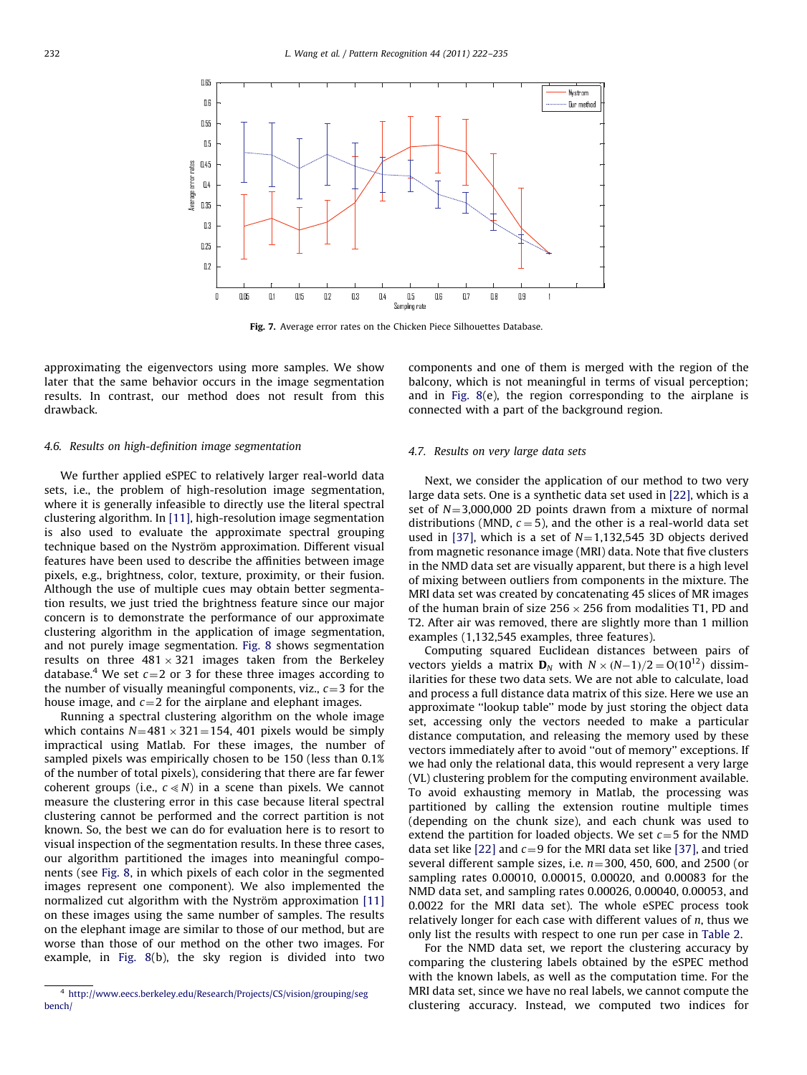<span id="page-10-0"></span>

Fig. 7. Average error rates on the Chicken Piece Silhouettes Database.

approximating the eigenvectors using more samples. We show later that the same behavior occurs in the image segmentation results. In contrast, our method does not result from this drawback.

components and one of them is merged with the region of the balcony, which is not meaningful in terms of visual perception; and in [Fig. 8](#page-11-0)(e), the region corresponding to the airplane is connected with a part of the background region.

#### 4.6. Results on high-definition image segmentation

We further applied eSPEC to relatively larger real-world data sets, i.e., the problem of high-resolution image segmentation, where it is generally infeasible to directly use the literal spectral clustering algorithm. In [\[11\]](#page-12-0), high-resolution image segmentation is also used to evaluate the approximate spectral grouping technique based on the Nyström approximation. Different visual features have been used to describe the affinities between image pixels, e.g., brightness, color, texture, proximity, or their fusion. Although the use of multiple cues may obtain better segmentation results, we just tried the brightness feature since our major concern is to demonstrate the performance of our approximate clustering algorithm in the application of image segmentation, and not purely image segmentation. [Fig. 8](#page-11-0) shows segmentation results on three  $481 \times 321$  images taken from the Berkeley database.<sup>4</sup> We set  $c=2$  or 3 for these three images according to the number of visually meaningful components, viz.,  $c=3$  for the house image, and  $c=2$  for the airplane and elephant images.

Running a spectral clustering algorithm on the whole image which contains  $N{=}481\times321{=}154$ , 401 pixels would be simply impractical using Matlab. For these images, the number of sampled pixels was empirically chosen to be 150 (less than 0.1% of the number of total pixels), considering that there are far fewer coherent groups (i.e.,  $c \ll N$ ) in a scene than pixels. We cannot measure the clustering error in this case because literal spectral clustering cannot be performed and the correct partition is not known. So, the best we can do for evaluation here is to resort to visual inspection of the segmentation results. In these three cases, our algorithm partitioned the images into meaningful components (see [Fig. 8](#page-11-0), in which pixels of each color in the segmented images represent one component). We also implemented the normalized cut algorithm with the Nyström approximation  $[11]$ on these images using the same number of samples. The results on the elephant image are similar to those of our method, but are worse than those of our method on the other two images. For example, in [Fig. 8\(](#page-11-0)b), the sky region is divided into two

# 4.7. Results on very large data sets

Next, we consider the application of our method to two very large data sets. One is a synthetic data set used in [\[22\],](#page-12-0) which is a set of  $N=3,000,000$  2D points drawn from a mixture of normal distributions (MND,  $c = 5$ ), and the other is a real-world data set used in [\[37\],](#page-12-0) which is a set of  $N=1,132,545$  3D objects derived from magnetic resonance image (MRI) data. Note that five clusters in the NMD data set are visually apparent, but there is a high level of mixing between outliers from components in the mixture. The MRI data set was created by concatenating 45 slices of MR images of the human brain of size 256  $\times$  256 from modalities T1, PD and T2. After air was removed, there are slightly more than 1 million examples (1,132,545 examples, three features).

Computing squared Euclidean distances between pairs of vectors yields a matrix **D**<sub>N</sub> with  $N \times (N-1)/2 = O(10^{12})$  dissimilarities for these two data sets. We are not able to calculate, load and process a full distance data matrix of this size. Here we use an approximate ''lookup table'' mode by just storing the object data set, accessing only the vectors needed to make a particular distance computation, and releasing the memory used by these vectors immediately after to avoid ''out of memory'' exceptions. If we had only the relational data, this would represent a very large (VL) clustering problem for the computing environment available. To avoid exhausting memory in Matlab, the processing was partitioned by calling the extension routine multiple times (depending on the chunk size), and each chunk was used to extend the partition for loaded objects. We set  $c=5$  for the NMD data set like [\[22\]](#page-12-0) and  $c=9$  for the MRI data set like [\[37\],](#page-12-0) and tried several different sample sizes, i.e.  $n=300$ , 450, 600, and 2500 (or sampling rates 0.00010, 0.00015, 0.00020, and 0.00083 for the NMD data set, and sampling rates 0.00026, 0.00040, 0.00053, and 0.0022 for the MRI data set). The whole eSPEC process took relatively longer for each case with different values of  $n$ , thus we only list the results with respect to one run per case in [Table 2.](#page-11-0)

For the NMD data set, we report the clustering accuracy by comparing the clustering labels obtained by the eSPEC method with the known labels, as well as the computation time. For the MRI data set, since we have no real labels, we cannot compute the clustering accuracy. Instead, we computed two indices for

 $^{\rm 4}$ [http://www.eecs.berkeley.edu/Research/Projects/CS/vision/grouping/seg](http://www.eecs.berkeley.edu/Research/Projects/CS/vision/grouping/segbench/) [bench/](http://www.eecs.berkeley.edu/Research/Projects/CS/vision/grouping/segbench/)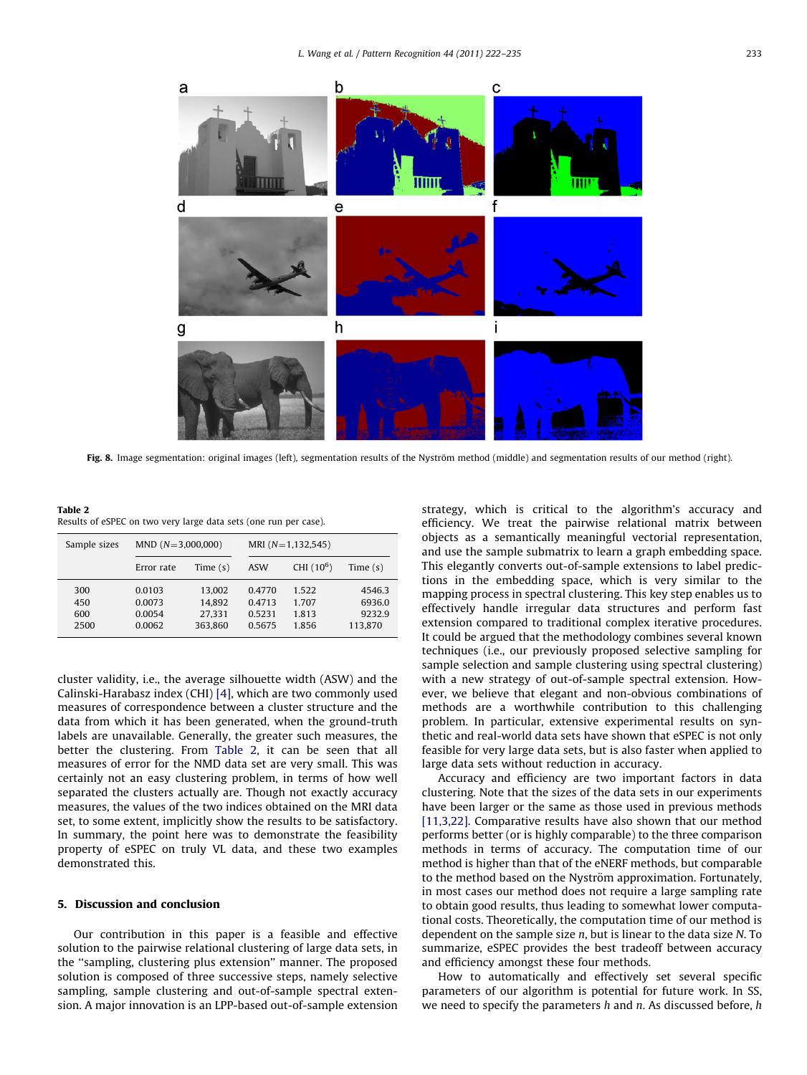<span id="page-11-0"></span>

Fig. 8. Image segmentation: original images (left), segmentation results of the Nyström method (middle) and segmentation results of our method (right).

Table 2 Results of eSPEC on two very large data sets (one run per case).

| Sample sizes              | $MND (N=3,000,000)$                  |                                       |                                      | MRI $(N=1,132,545)$              |                                       |  |
|---------------------------|--------------------------------------|---------------------------------------|--------------------------------------|----------------------------------|---------------------------------------|--|
|                           | Error rate                           | Time $(s)$                            | <b>ASW</b>                           | CHI $(10^6)$                     | Time $(s)$                            |  |
| 300<br>450<br>600<br>2500 | 0.0103<br>0.0073<br>0.0054<br>0.0062 | 13.002<br>14.892<br>27.331<br>363.860 | 0.4770<br>0.4713<br>0.5231<br>0.5675 | 1.522<br>1.707<br>1.813<br>1.856 | 4546.3<br>6936.0<br>9232.9<br>113,870 |  |

cluster validity, i.e., the average silhouette width (ASW) and the Calinski-Harabasz index (CHI) [\[4\],](#page-12-0) which are two commonly used measures of correspondence between a cluster structure and the data from which it has been generated, when the ground-truth labels are unavailable. Generally, the greater such measures, the better the clustering. From Table 2, it can be seen that all measures of error for the NMD data set are very small. This was certainly not an easy clustering problem, in terms of how well separated the clusters actually are. Though not exactly accuracy measures, the values of the two indices obtained on the MRI data set, to some extent, implicitly show the results to be satisfactory. In summary, the point here was to demonstrate the feasibility property of eSPEC on truly VL data, and these two examples demonstrated this.

# 5. Discussion and conclusion

Our contribution in this paper is a feasible and effective solution to the pairwise relational clustering of large data sets, in the ''sampling, clustering plus extension'' manner. The proposed solution is composed of three successive steps, namely selective sampling, sample clustering and out-of-sample spectral extension. A major innovation is an LPP-based out-of-sample extension strategy, which is critical to the algorithm's accuracy and efficiency. We treat the pairwise relational matrix between objects as a semantically meaningful vectorial representation, and use the sample submatrix to learn a graph embedding space. This elegantly converts out-of-sample extensions to label predictions in the embedding space, which is very similar to the mapping process in spectral clustering. This key step enables us to effectively handle irregular data structures and perform fast extension compared to traditional complex iterative procedures. It could be argued that the methodology combines several known techniques (i.e., our previously proposed selective sampling for sample selection and sample clustering using spectral clustering) with a new strategy of out-of-sample spectral extension. However, we believe that elegant and non-obvious combinations of methods are a worthwhile contribution to this challenging problem. In particular, extensive experimental results on synthetic and real-world data sets have shown that eSPEC is not only feasible for very large data sets, but is also faster when applied to large data sets without reduction in accuracy.

Accuracy and efficiency are two important factors in data clustering. Note that the sizes of the data sets in our experiments have been larger or the same as those used in previous methods [\[11,3,22\]](#page-12-0). Comparative results have also shown that our method performs better (or is highly comparable) to the three comparison methods in terms of accuracy. The computation time of our method is higher than that of the eNERF methods, but comparable to the method based on the Nyström approximation. Fortunately, in most cases our method does not require a large sampling rate to obtain good results, thus leading to somewhat lower computational costs. Theoretically, the computation time of our method is dependent on the sample size n, but is linear to the data size N. To summarize, eSPEC provides the best tradeoff between accuracy and efficiency amongst these four methods.

How to automatically and effectively set several specific parameters of our algorithm is potential for future work. In SS, we need to specify the parameters  $h$  and  $n$ . As discussed before,  $h$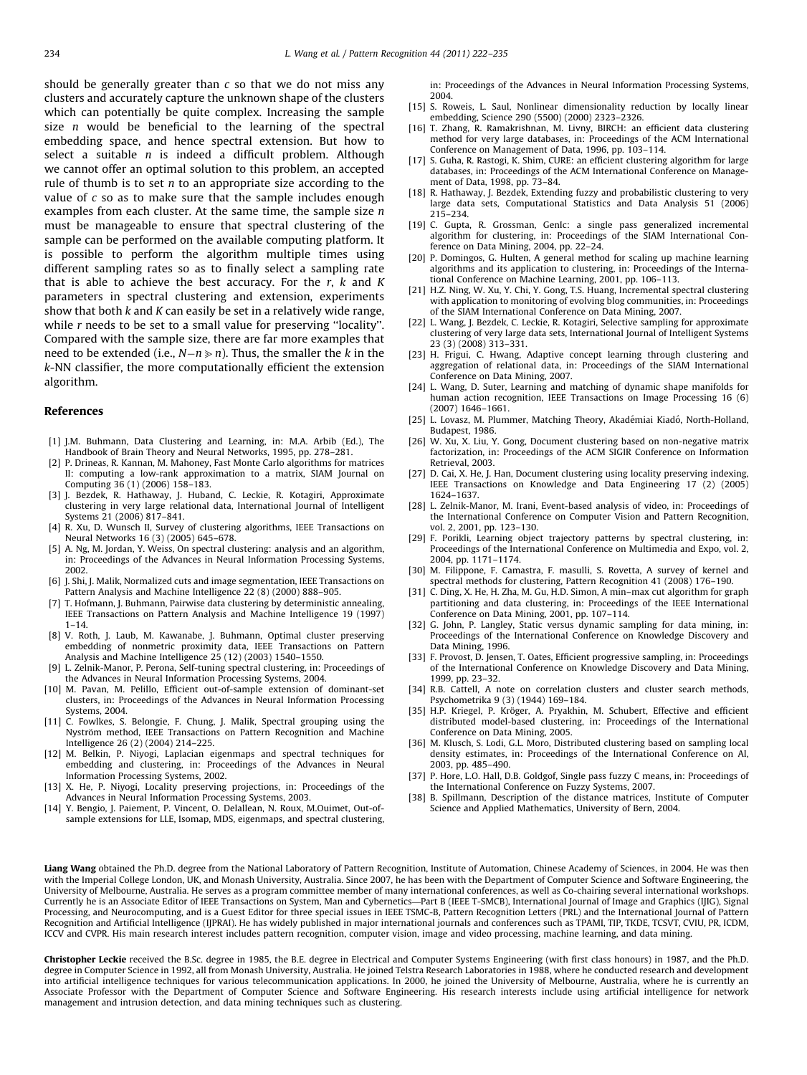<span id="page-12-0"></span>should be generally greater than  $c$  so that we do not miss any clusters and accurately capture the unknown shape of the clusters which can potentially be quite complex. Increasing the sample size n would be beneficial to the learning of the spectral embedding space, and hence spectral extension. But how to select a suitable  $n$  is indeed a difficult problem. Although we cannot offer an optimal solution to this problem, an accepted rule of thumb is to set  $n$  to an appropriate size according to the value of c so as to make sure that the sample includes enough examples from each cluster. At the same time, the sample size  $n$ must be manageable to ensure that spectral clustering of the sample can be performed on the available computing platform. It is possible to perform the algorithm multiple times using different sampling rates so as to finally select a sampling rate that is able to achieve the best accuracy. For the  $r$ ,  $k$  and  $K$ parameters in spectral clustering and extension, experiments show that both  $k$  and  $K$  can easily be set in a relatively wide range, while r needs to be set to a small value for preserving "locality". Compared with the sample size, there are far more examples that need to be extended (i.e.,  $N-n \ge n$ ). Thus, the smaller the k in the k-NN classifier, the more computationally efficient the extension algorithm.

# References

- [1] J.M. Buhmann, Data Clustering and Learning, in: M.A. Arbib (Ed.), The Handbook of Brain Theory and Neural Networks, 1995, pp. 278–281.
- [2] P. Drineas, R. Kannan, M. Mahoney, Fast Monte Carlo algorithms for matrices II: computing a low-rank approximation to a matrix, SIAM Journal on Computing 36 (1) (2006) 158–183.
- [3] J. Bezdek, R. Hathaway, J. Huband, C. Leckie, R. Kotagiri, Approximate clustering in very large relational data, International Journal of Intelligent Systems 21 (2006) 817–841.
- [4] R. Xu, D. Wunsch II, Survey of clustering algorithms, IEEE Transactions on Neural Networks 16 (3) (2005) 645–678.
- [5] A. Ng, M. Jordan, Y. Weiss, On spectral clustering: analysis and an algorithm, in: Proceedings of the Advances in Neural Information Processing Systems, 2002.
- [6] J. Shi, J. Malik, Normalized cuts and image segmentation, IEEE Transactions on Pattern Analysis and Machine Intelligence 22 (8) (2000) 888–905.
- [7] T. Hofmann, J. Buhmann, Pairwise data clustering by deterministic annealing, IEEE Transactions on Pattern Analysis and Machine Intelligence 19 (1997) 1–14.
- [8] V. Roth, J. Laub, M. Kawanabe, J. Buhmann, Optimal cluster preserving embedding of nonmetric proximity data, IEEE Transactions on Pattern Analysis and Machine Intelligence 25 (12) (2003) 1540–1550.
- [9] L. Zelnik-Manor, P. Perona, Self-tuning spectral clustering, in: Proceedings of the Advances in Neural Information Processing Systems, 2004.
- [10] M. Pavan, M. Pelillo, Efficient out-of-sample extension of dominant-set clusters, in: Proceedings of the Advances in Neural Information Processing
- Systems, 2004. [11] C. Fowlkes, S. Belongie, F. Chung, J. Malik, Spectral grouping using the Nyström method, IEEE Transactions on Pattern Recognition and Machine Intelligence 26 (2) (2004) 214–225.
- [12] M. Belkin, P. Niyogi, Laplacian eigenmaps and spectral techniques for embedding and clustering, in: Proceedings of the Advances in Neural Information Processing Systems, 2002.
- [13] X. He, P. Niyogi, Locality preserving projections, in: Proceedings of the Advances in Neural Information Processing Systems, 2003.
- [14] Y. Bengio, J. Paiement, P. Vincent, O. Delallean, N. Roux, M.Ouimet, Out-ofsample extensions for LLE, Isomap, MDS, eigenmaps, and spectral clustering,

in: Proceedings of the Advances in Neural Information Processing Systems, 2004.

- [15] S. Roweis, L. Saul, Nonlinear dimensionality reduction by locally linear embedding, Science 290 (5500) (2000) 2323–2326.
- [16] T. Zhang, R. Ramakrishnan, M. Livny, BIRCH: an efficient data clustering method for very large databases, in: Proceedings of the ACM International Conference on Management of Data, 1996, pp. 103–114.
- [17] S. Guha, R. Rastogi, K. Shim, CURE: an efficient clustering algorithm for large databases, in: Proceedings of the ACM International Conference on Management of Data, 1998, pp. 73–84.
- [18] R. Hathaway, J. Bezdek, Extending fuzzy and probabilistic clustering to very large data sets, Computational Statistics and Data Analysis 51 (2006) 215–234.
- [19] C. Gupta, R. Grossman, GenIc: a single pass generalized incremental algorithm for clustering, in: Proceedings of the SIAM International Conference on Data Mining, 2004, pp. 22–24.
- [20] P. Domingos, G. Hulten, A general method for scaling up machine learning algorithms and its application to clustering, in: Proceedings of the International Conference on Machine Learning, 2001, pp. 106–113.
- [21] H.Z. Ning, W. Xu, Y. Chi, Y. Gong, T.S. Huang, Incremental spectral clustering with application to monitoring of evolving blog communities, in: Proceedings of the SIAM International Conference on Data Mining, 2007.
- [22] L. Wang, J. Bezdek, C. Leckie, R. Kotagiri, Selective sampling for approximate clustering of very large data sets, International Journal of Intelligent Systems 23 (3) (2008) 313–331.
- [23] H. Frigui, C. Hwang, Adaptive concept learning through clustering and aggregation of relational data, in: Proceedings of the SIAM International Conference on Data Mining, 2007.
- [24] L. Wang, D. Suter, Learning and matching of dynamic shape manifolds for human action recognition, IEEE Transactions on Image Processing 16 (6) (2007) 1646–1661.
- [25] L. Lovasz, M. Plummer, Matching Theory, Akadémiai Kiadó, North-Holland, Budapest, 1986.
- [26] W. Xu, X. Liu, Y. Gong, Document clustering based on non-negative matrix factorization, in: Proceedings of the ACM SIGIR Conference on Information Retrieval, 2003.
- [27] D. Cai, X. He, J. Han, Document clustering using locality preserving indexing IEEE Transactions on Knowledge and Data Engineering 17 (2) (2005) 1624–1637.
- [28] L. Zelnik-Manor, M. Irani, Event-based analysis of video, in: Proceedings of the International Conference on Computer Vision and Pattern Recognition, vol. 2, 2001, pp. 123–130.
- [29] F. Porikli, Learning object trajectory patterns by spectral clustering, in: Proceedings of the International Conference on Multimedia and Expo, vol. 2, 2004, pp. 1171–1174.
- [30] M. Filippone, F. Camastra, F. masulli, S. Rovetta, A survey of kernel and spectral methods for clustering, Pattern Recognition 41 (2008) 176–190.
- [31] C. Ding, X. He, H. Zha, M. Gu, H.D. Simon, A min–max cut algorithm for graph partitioning and data clustering, in: Proceedings of the IEEE International Conference on Data Mining, 2001, pp. 107–114.
- [32] G. John, P. Langley, Static versus dynamic sampling for data mining, in: Proceedings of the International Conference on Knowledge Discovery and Data Mining, 1996.
- [33] F. Provost, D. Jensen, T. Oates, Efficient progressive sampling, in: Proceedings of the International Conference on Knowledge Discovery and Data Mining, 1999, pp. 23–32.
- [34] R.B. Cattell, A note on correlation clusters and cluster search methods, Psychometrika 9 (3) (1944) 169–184.
- [35] H.P. Kriegel, P. Kröger, A. Pryakhin, M. Schubert, Effective and efficient distributed model-based clustering, in: Proceedings of the International Conference on Data Mining, 2005.
- [36] M. Klusch, S. Lodi, G.L. Moro, Distributed clustering based on sampling local density estimates, in: Proceedings of the International Conference on AI, 2003, pp. 485–490.
- [37] P. Hore, L.O. Hall, D.B. Goldgof, Single pass fuzzy C means, in: Proceedings of the International Conference on Fuzzy Systems, 2007.
- [38] B. Spillmann, Description of the distance matrices, Institute of Computer Science and Applied Mathematics, University of Bern, 2004.

Liang Wang obtained the Ph.D. degree from the National Laboratory of Pattern Recognition, Institute of Automation, Chinese Academy of Sciences, in 2004. He was then with the Imperial College London, UK, and Monash University, Australia. Since 2007, he has been with the Department of Computer Science and Software Engineering, the University of Melbourne, Australia. He serves as a program committee member of many international conferences, as well as Co-chairing several international workshops. Currently he is an Associate Editor of IEEE Transactions on System, Man and Cybernetics—Part B (IEEE T-SMCB), International Journal of Image and Graphics (IJIG), Signal Processing, and Neurocomputing, and is a Guest Editor for three special issues in IEEE TSMC-B, Pattern Recognition Letters (PRL) and the International Journal of Pattern Recognition and Artificial Intelligence (IJPRAI). He has widely published in major international journals and conferences such as TPAMI, TIP, TKDE, TCSVT, CVIU, PR, ICDM, ICCV and CVPR. His main research interest includes pattern recognition, computer vision, image and video processing, machine learning, and data mining.

Christopher Leckie received the B.Sc. degree in 1985, the B.E. degree in Electrical and Computer Systems Engineering (with first class honours) in 1987, and the Ph.D. degree in Computer Science in 1992, all from Monash University, Australia. He joined Telstra Research Laboratories in 1988, where he conducted research and development into artificial intelligence techniques for various telecommunication applications. In 2000, he joined the University of Melbourne, Australia, where he is currently an Associate Professor with the Department of Computer Science and Software Engineering. His research interests include using artificial intelligence for network management and intrusion detection, and data mining techniques such as clustering.